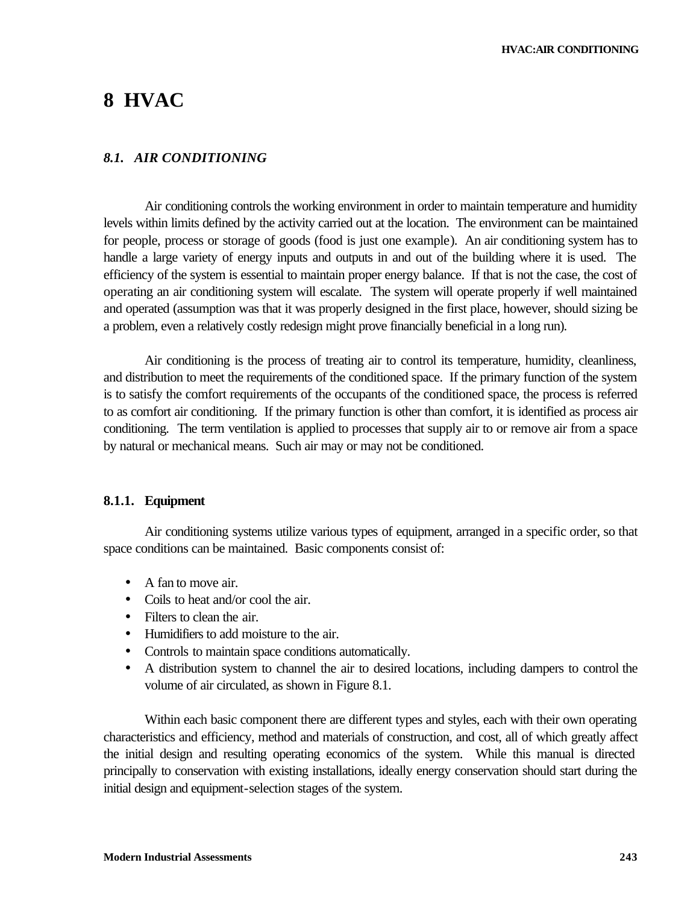# **8 HVAC**

## *8.1. AIR CONDITIONING*

Air conditioning controls the working environment in order to maintain temperature and humidity levels within limits defined by the activity carried out at the location. The environment can be maintained for people, process or storage of goods (food is just one example). An air conditioning system has to handle a large variety of energy inputs and outputs in and out of the building where it is used. The efficiency of the system is essential to maintain proper energy balance. If that is not the case, the cost of operating an air conditioning system will escalate. The system will operate properly if well maintained and operated (assumption was that it was properly designed in the first place, however, should sizing be a problem, even a relatively costly redesign might prove financially beneficial in a long run).

Air conditioning is the process of treating air to control its temperature, humidity, cleanliness, and distribution to meet the requirements of the conditioned space. If the primary function of the system is to satisfy the comfort requirements of the occupants of the conditioned space, the process is referred to as comfort air conditioning. If the primary function is other than comfort, it is identified as process air conditioning. The term ventilation is applied to processes that supply air to or remove air from a space by natural or mechanical means. Such air may or may not be conditioned.

#### **8.1.1. Equipment**

Air conditioning systems utilize various types of equipment, arranged in a specific order, so that space conditions can be maintained. Basic components consist of:

- A fan to move air.
- Coils to heat and/or cool the air.
- Filters to clean the air.
- Humidifiers to add moisture to the air.
- Controls to maintain space conditions automatically.
- A distribution system to channel the air to desired locations, including dampers to control the volume of air circulated, as shown in Figure 8.1.

Within each basic component there are different types and styles, each with their own operating characteristics and efficiency, method and materials of construction, and cost, all of which greatly affect the initial design and resulting operating economics of the system. While this manual is directed principally to conservation with existing installations, ideally energy conservation should start during the initial design and equipment-selection stages of the system.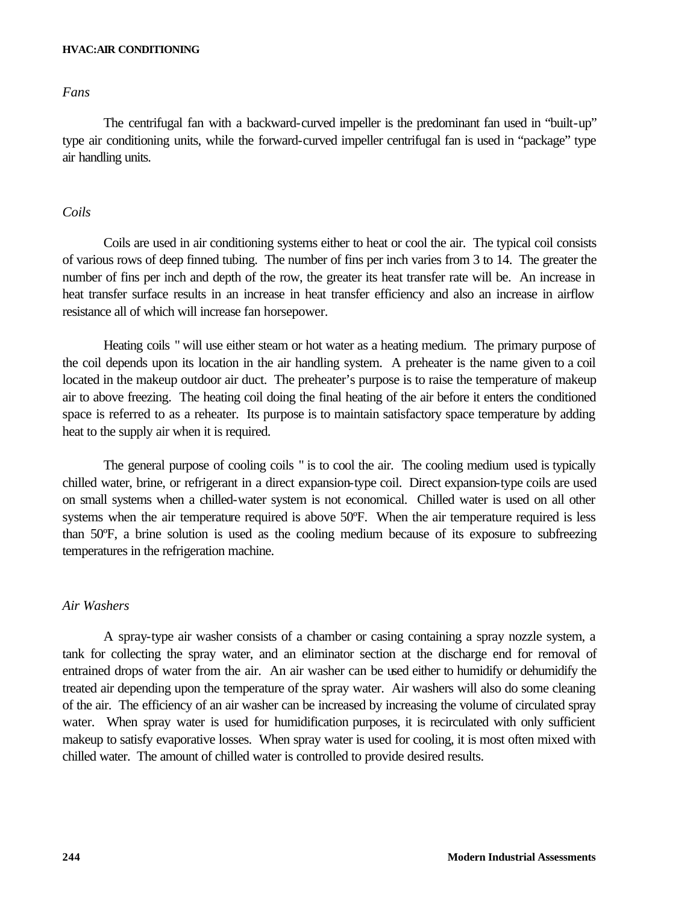#### **HVAC:AIR CONDITIONING**

#### *Fans*

The centrifugal fan with a backward-curved impeller is the predominant fan used in "built-up" type air conditioning units, while the forward-curved impeller centrifugal fan is used in "package" type air handling units.

#### *Coils*

Coils are used in air conditioning systems either to heat or cool the air. The typical coil consists of various rows of deep finned tubing. The number of fins per inch varies from 3 to 14. The greater the number of fins per inch and depth of the row, the greater its heat transfer rate will be. An increase in heat transfer surface results in an increase in heat transfer efficiency and also an increase in airflow resistance all of which will increase fan horsepower.

Heating coils " will use either steam or hot water as a heating medium. The primary purpose of the coil depends upon its location in the air handling system. A preheater is the name given to a coil located in the makeup outdoor air duct. The preheater's purpose is to raise the temperature of makeup air to above freezing. The heating coil doing the final heating of the air before it enters the conditioned space is referred to as a reheater. Its purpose is to maintain satisfactory space temperature by adding heat to the supply air when it is required.

The general purpose of cooling coils " is to cool the air. The cooling medium used is typically chilled water, brine, or refrigerant in a direct expansion-type coil. Direct expansion-type coils are used on small systems when a chilled-water system is not economical. Chilled water is used on all other systems when the air temperature required is above 50°F. When the air temperature required is less than 50ºF, a brine solution is used as the cooling medium because of its exposure to subfreezing temperatures in the refrigeration machine.

#### *Air Washers*

A spray-type air washer consists of a chamber or casing containing a spray nozzle system, a tank for collecting the spray water, and an eliminator section at the discharge end for removal of entrained drops of water from the air. An air washer can be used either to humidify or dehumidify the treated air depending upon the temperature of the spray water. Air washers will also do some cleaning of the air. The efficiency of an air washer can be increased by increasing the volume of circulated spray water. When spray water is used for humidification purposes, it is recirculated with only sufficient makeup to satisfy evaporative losses. When spray water is used for cooling, it is most often mixed with chilled water. The amount of chilled water is controlled to provide desired results.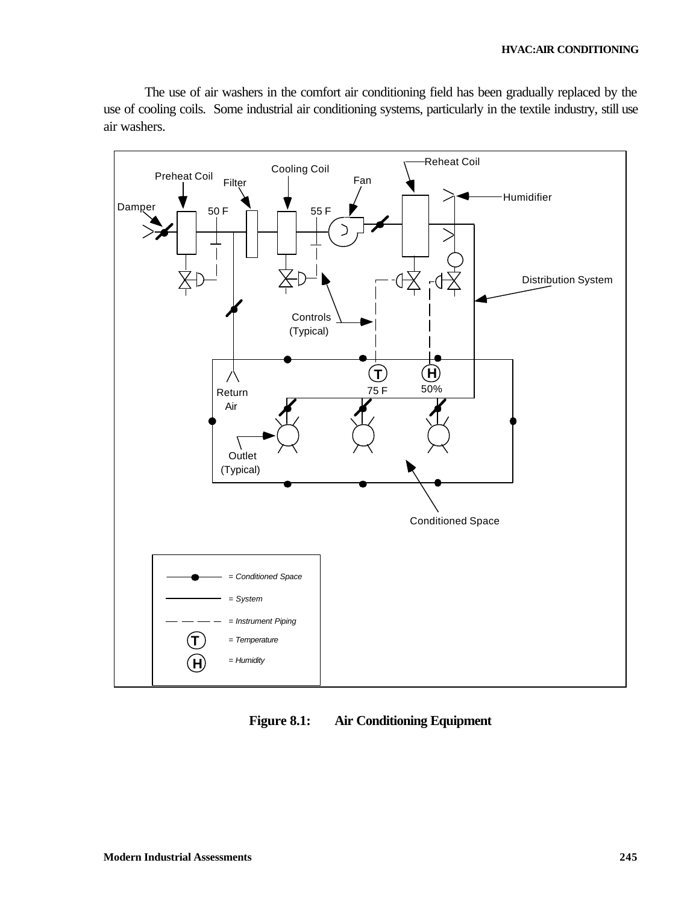The use of air washers in the comfort air conditioning field has been gradually replaced by the use of cooling coils. Some industrial air conditioning systems, particularly in the textile industry, still use air washers.



**Figure 8.1: Air Conditioning Equipment**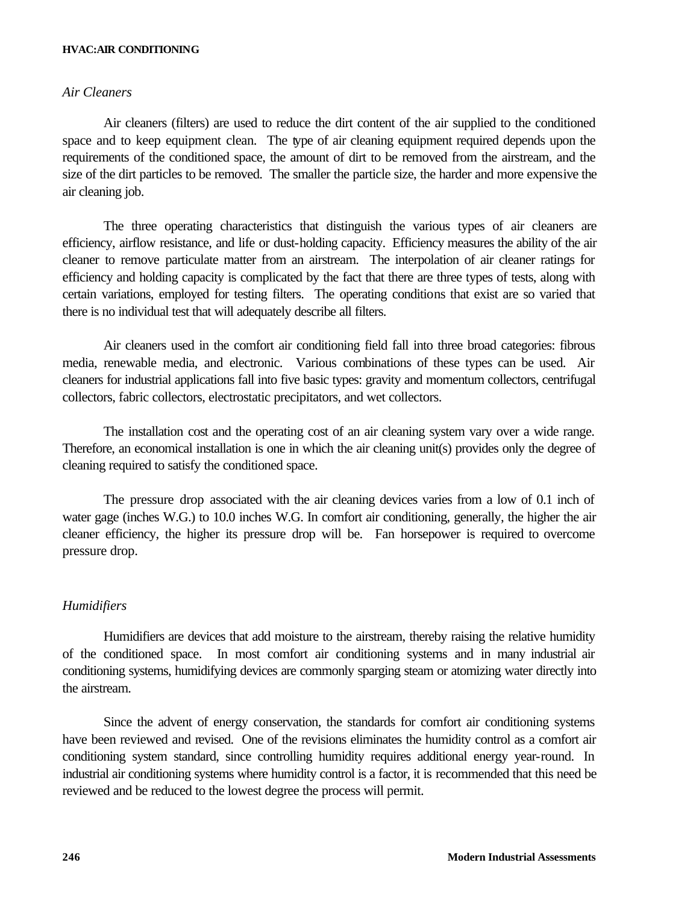#### **HVAC:AIR CONDITIONING**

### *Air Cleaners*

Air cleaners (filters) are used to reduce the dirt content of the air supplied to the conditioned space and to keep equipment clean. The type of air cleaning equipment required depends upon the requirements of the conditioned space, the amount of dirt to be removed from the airstream, and the size of the dirt particles to be removed. The smaller the particle size, the harder and more expensive the air cleaning job.

The three operating characteristics that distinguish the various types of air cleaners are efficiency, airflow resistance, and life or dust-holding capacity. Efficiency measures the ability of the air cleaner to remove particulate matter from an airstream. The interpolation of air cleaner ratings for efficiency and holding capacity is complicated by the fact that there are three types of tests, along with certain variations, employed for testing filters. The operating conditions that exist are so varied that there is no individual test that will adequately describe all filters.

Air cleaners used in the comfort air conditioning field fall into three broad categories: fibrous media, renewable media, and electronic. Various combinations of these types can be used. Air cleaners for industrial applications fall into five basic types: gravity and momentum collectors, centrifugal collectors, fabric collectors, electrostatic precipitators, and wet collectors.

The installation cost and the operating cost of an air cleaning system vary over a wide range. Therefore, an economical installation is one in which the air cleaning unit(s) provides only the degree of cleaning required to satisfy the conditioned space.

The pressure drop associated with the air cleaning devices varies from a low of 0.1 inch of water gage (inches W.G.) to 10.0 inches W.G. In comfort air conditioning, generally, the higher the air cleaner efficiency, the higher its pressure drop will be. Fan horsepower is required to overcome pressure drop.

#### *Humidifiers*

Humidifiers are devices that add moisture to the airstream, thereby raising the relative humidity of the conditioned space. In most comfort air conditioning systems and in many industrial air conditioning systems, humidifying devices are commonly sparging steam or atomizing water directly into the airstream.

Since the advent of energy conservation, the standards for comfort air conditioning systems have been reviewed and revised. One of the revisions eliminates the humidity control as a comfort air conditioning system standard, since controlling humidity requires additional energy year-round. In industrial air conditioning systems where humidity control is a factor, it is recommended that this need be reviewed and be reduced to the lowest degree the process will permit.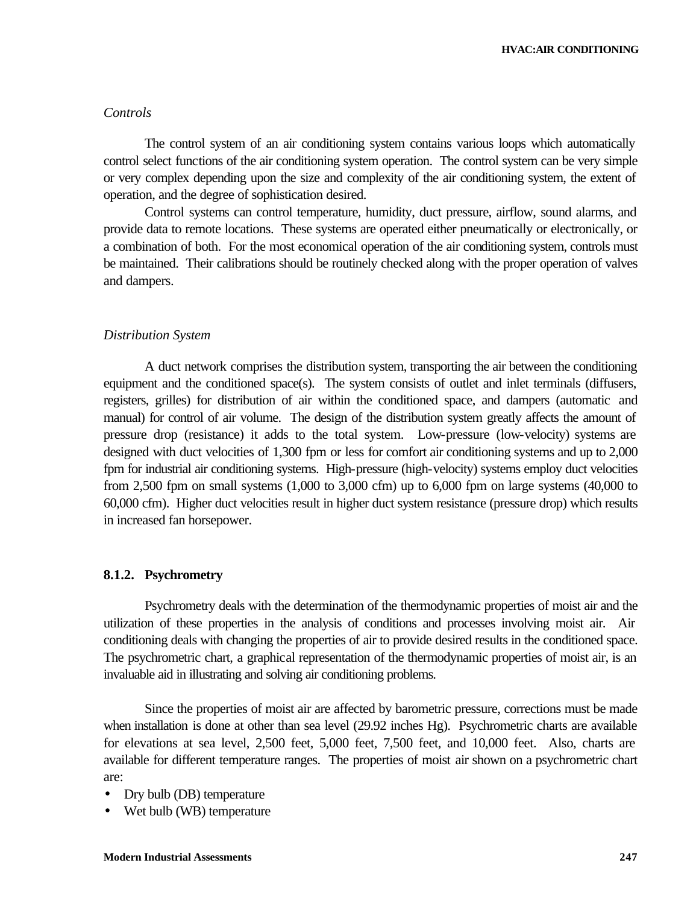#### *Controls*

The control system of an air conditioning system contains various loops which automatically control select functions of the air conditioning system operation. The control system can be very simple or very complex depending upon the size and complexity of the air conditioning system, the extent of operation, and the degree of sophistication desired.

Control systems can control temperature, humidity, duct pressure, airflow, sound alarms, and provide data to remote locations. These systems are operated either pneumatically or electronically, or a combination of both. For the most economical operation of the air conditioning system, controls must be maintained. Their calibrations should be routinely checked along with the proper operation of valves and dampers.

#### *Distribution System*

A duct network comprises the distribution system, transporting the air between the conditioning equipment and the conditioned space(s). The system consists of outlet and inlet terminals (diffusers, registers, grilles) for distribution of air within the conditioned space, and dampers (automatic and manual) for control of air volume. The design of the distribution system greatly affects the amount of pressure drop (resistance) it adds to the total system. Low-pressure (low-velocity) systems are designed with duct velocities of 1,300 fpm or less for comfort air conditioning systems and up to 2,000 fpm for industrial air conditioning systems. High-pressure (high-velocity) systems employ duct velocities from 2,500 fpm on small systems (1,000 to 3,000 cfm) up to 6,000 fpm on large systems (40,000 to 60,000 cfm). Higher duct velocities result in higher duct system resistance (pressure drop) which results in increased fan horsepower.

#### **8.1.2. Psychrometry**

Psychrometry deals with the determination of the thermodynamic properties of moist air and the utilization of these properties in the analysis of conditions and processes involving moist air. Air conditioning deals with changing the properties of air to provide desired results in the conditioned space. The psychrometric chart, a graphical representation of the thermodynamic properties of moist air, is an invaluable aid in illustrating and solving air conditioning problems.

Since the properties of moist air are affected by barometric pressure, corrections must be made when installation is done at other than sea level (29.92 inches Hg). Psychrometric charts are available for elevations at sea level, 2,500 feet, 5,000 feet, 7,500 feet, and 10,000 feet. Also, charts are available for different temperature ranges. The properties of moist air shown on a psychrometric chart are:

- Dry bulb (DB) temperature
- Wet bulb (WB) temperature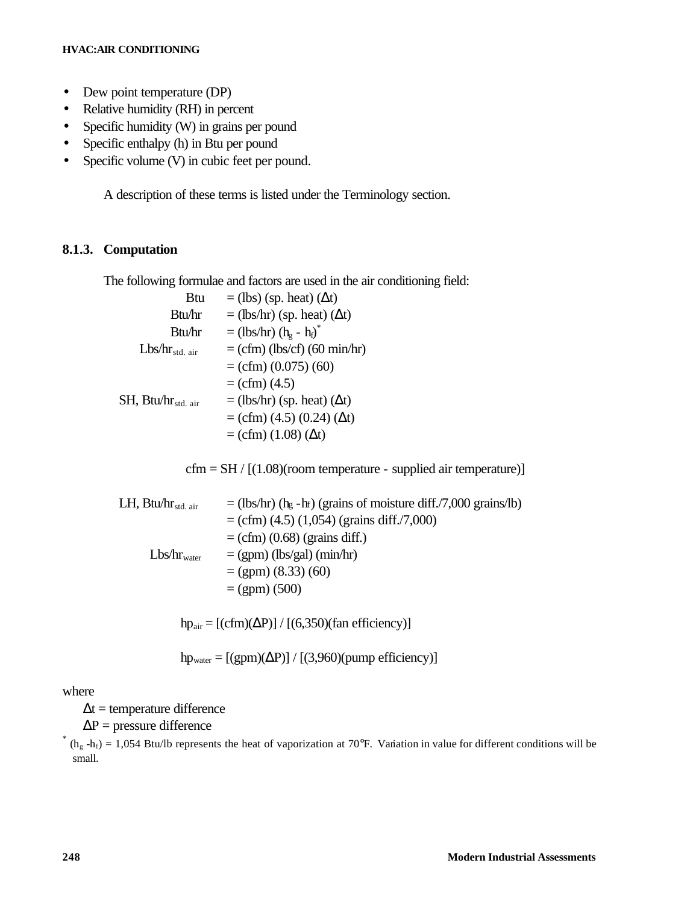#### **HVAC:AIR CONDITIONING**

- Dew point temperature (DP)
- Relative humidity (RH) in percent
- Specific humidity (W) in grains per pound
- Specific enthalpy (h) in Btu per pound
- Specific volume (V) in cubic feet per pound.

A description of these terms is listed under the Terminology section.

## **8.1.3. Computation**

The following formulae and factors are used in the air conditioning field:

| Btu                         | $=$ (lbs) (sp. heat) ( $\Delta t$ )                          |
|-----------------------------|--------------------------------------------------------------|
| Btu/hr                      | $=$ (lbs/hr) (sp. heat) ( $\Delta t$ )                       |
| Btu/hr                      | $=$ (lbs/hr) (h <sub>e</sub> - h <sub>f</sub> ) <sup>*</sup> |
| $Lbs/hr_{std. air}$         | $=$ (cfm) (lbs/cf) (60 min/hr)                               |
|                             | $=$ (cfm) (0.075) (60)                                       |
|                             | $=$ (cfm) (4.5)                                              |
| $SH$ , Btu/ $hr_{std. air}$ | $=$ (lbs/hr) (sp. heat) ( $\Delta t$ )                       |
|                             | $=$ (cfm) (4.5) (0.24) ( $\Delta t$ )                        |
|                             | $= (cfm) (1.08) (\Delta t)$                                  |

 $cfm = SH / [(1.08)(room temperature - supplied air temperature)]$ 

| LH, $Btu/hr_{std. air}$ | $=$ (lbs/hr) (hg -hr) (grains of moisture diff./7,000 grains/lb) |
|-------------------------|------------------------------------------------------------------|
|                         | $=$ (cfm) (4.5) (1,054) (grains diff./7,000)                     |
|                         | $=$ (cfm) (0.68) (grains diff.)                                  |
| $Lbs/hr_{water}$        | $= (gpm)$ (lbs/gal) (min/hr)                                     |
|                         | $= (gpm) (8.33) (60)$                                            |
|                         | $= (gpm) (500)$                                                  |
|                         |                                                                  |

hp<sub>air</sub> =  $[(cfm)(\Delta P)] / [(6,350)(fan efficiency)]$ 

 $hp_{water} = [(gpm)(\Delta P)] / [(3,960)(pump efficiency)]$ 

#### where

 $\Delta t$  = temperature difference

 $\Delta P$  = pressure difference

 $*$  (h<sub>g</sub> -h<sub>f</sub>) = 1,054 Btu/lb represents the heat of vaporization at 70°F. Variation in value for different conditions will be small.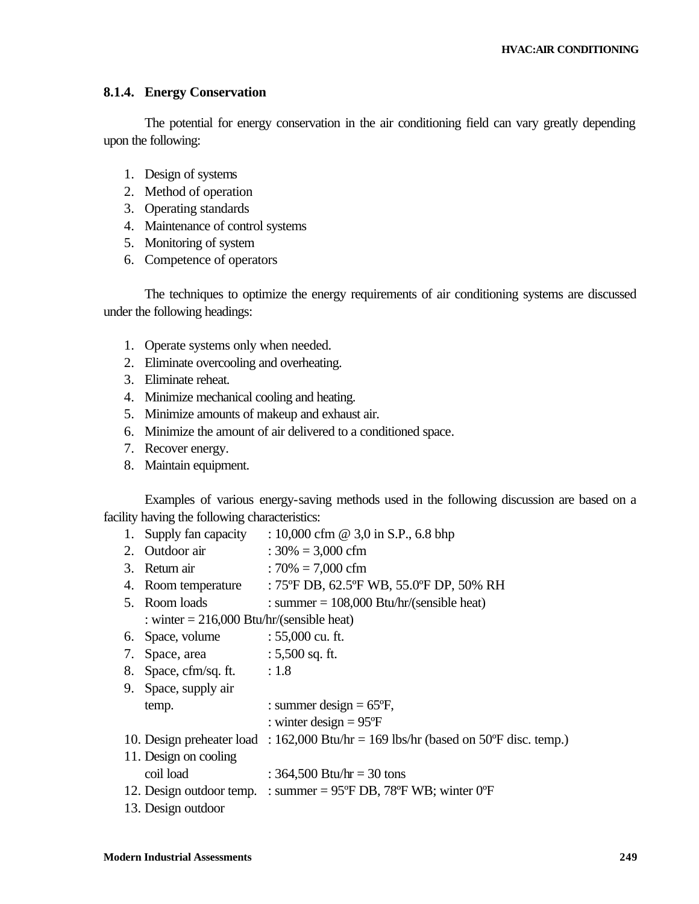## **8.1.4. Energy Conservation**

The potential for energy conservation in the air conditioning field can vary greatly depending upon the following:

- 1. Design of systems
- 2. Method of operation
- 3. Operating standards
- 4. Maintenance of control systems
- 5. Monitoring of system
- 6. Competence of operators

The techniques to optimize the energy requirements of air conditioning systems are discussed under the following headings:

- 1. Operate systems only when needed.
- 2. Eliminate overcooling and overheating.
- 3. Eliminate reheat.
- 4. Minimize mechanical cooling and heating.
- 5. Minimize amounts of makeup and exhaust air.
- 6. Minimize the amount of air delivered to a conditioned space.
- 7. Recover energy.
- 8. Maintain equipment.

Examples of various energy-saving methods used in the following discussion are based on a facility having the following characteristics:

|    | 1. Supply fan capacity                      | : 10,000 cfm $@$ 3,0 in S.P., 6.8 bhp                                                 |
|----|---------------------------------------------|---------------------------------------------------------------------------------------|
|    | 2. Outdoor air                              | : $30\% = 3,000$ cfm                                                                  |
|    | 3. Return air                               | : $70\% = 7,000$ cfm                                                                  |
|    | 4. Room temperature                         | : 75°F DB, 62.5°F WB, 55.0°F DP, 50% RH                                               |
|    | 5. Room loads                               | : summer = $108,000$ Btu/hr/(sensible heat)                                           |
|    | : winter $= 216,000$ Btu/hr/(sensible heat) |                                                                                       |
|    | 6. Space, volume                            | : $55,000$ cu. ft.                                                                    |
| 7. | Space, area                                 | $: 5,500$ sq. ft.                                                                     |
| 8. | Space, cfm/sq. ft. $: 1.8$                  |                                                                                       |
|    | 9. Space, supply air                        |                                                                                       |
|    | temp.                                       | : summer design = $65^{\circ}F$ ,                                                     |
|    |                                             | : winter design = $95^{\circ}F$                                                       |
|    |                                             | 10. Design preheater load : $162,000$ Btu/hr = 169 lbs/hr (based on 50°F disc. temp.) |
|    | 11. Design on cooling                       |                                                                                       |
|    | coil load                                   | : 364,500 Btu/hr = 30 tons                                                            |
|    |                                             | 12. Design outdoor temp. : summer = $95^{\circ}$ F DB, 78°F WB; winter 0°F            |
|    | 13. Design outdoor                          |                                                                                       |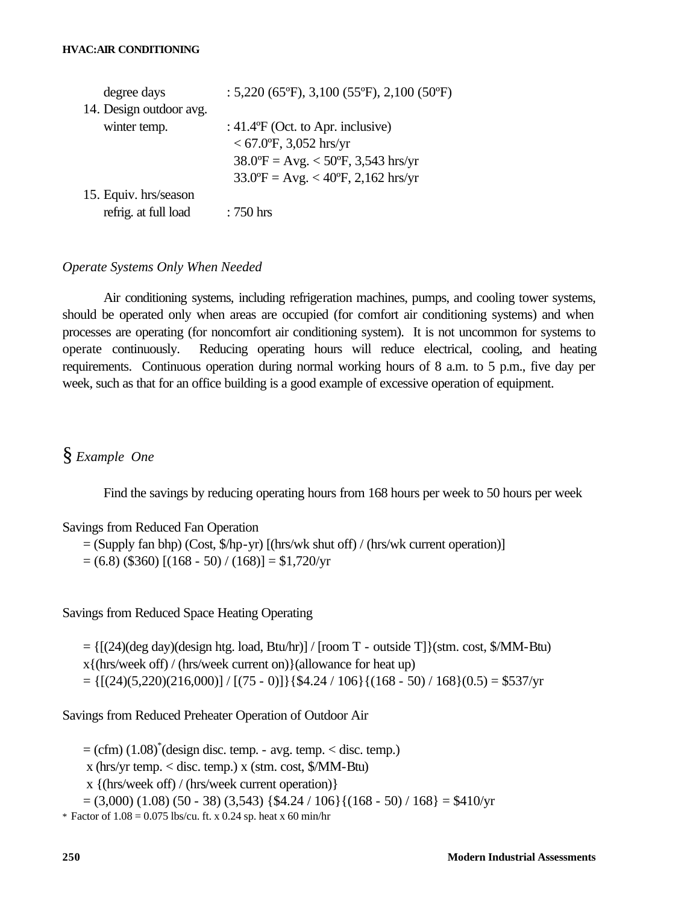| degree days             | : $5,220$ (65°F), $3,100$ (55°F), $2,100$ (50°F)   |
|-------------------------|----------------------------------------------------|
| 14. Design outdoor avg. |                                                    |
| winter temp.            | : $41.4$ <sup>o</sup> F (Oct. to Apr. inclusive)   |
|                         | $<$ 67.0°F, 3,052 hrs/yr                           |
|                         | $38.0$ °F = Avg. < 50°F, 3,543 hrs/yr              |
|                         | $33.0^{\circ}F = Avg. < 40^{\circ}F, 2,162$ hrs/yr |
| 15. Equiv. hrs/season   |                                                    |
| refrig. at full load    | $:750$ hrs                                         |

## *Operate Systems Only When Needed*

Air conditioning systems, including refrigeration machines, pumps, and cooling tower systems, should be operated only when areas are occupied (for comfort air conditioning systems) and when processes are operating (for noncomfort air conditioning system). It is not uncommon for systems to operate continuously. Reducing operating hours will reduce electrical, cooling, and heating requirements. Continuous operation during normal working hours of 8 a.m. to 5 p.m., five day per week, such as that for an office building is a good example of excessive operation of equipment.

## § *Example One*

Find the savings by reducing operating hours from 168 hours per week to 50 hours per week

#### Savings from Reduced Fan Operation

= (Supply fan bhp) (Cost, \$/hp-yr) [(hrs/wk shut off) / (hrs/wk current operation)]

 $= (6.8)$  (\$360)  $[(168 - 50) / (168)] = $1,720/yr$ 

Savings from Reduced Space Heating Operating

 $= \{[(24)(\text{deg day})(\text{design htg. load, Btu/hr)}] / [\text{room T - outside T}]\}$ (stm. cost, \$/MM-Btu)

x{(hrs/week off) / (hrs/week current on)}(allowance for heat up)

 $= \{[(24)(5,220)(216,000)] / [(75 - 0)]\}\$  {\$4.24 / 106} $\{(168 - 50) / 168\}(0.5) = $537/yr$ 

Savings from Reduced Preheater Operation of Outdoor Air

 $= (cfm) (1.08)^*$ (design disc. temp. - avg. temp.  $<$  disc. temp.)

x (hrs/yr temp. < disc. temp.) x (stm. cost, \$/MM-Btu)

x {(hrs/week off) / (hrs/week current operation)}

 $=(3,000)$   $(1.08)$   $(50 - 38)$   $(3,543)$   $\{\$4.24 / 106\}$  $\{(168 - 50) / 168\} = \$410/\text{yr}$ 

\* Factor of  $1.08 = 0.075$  lbs/cu. ft. x 0.24 sp. heat x 60 min/hr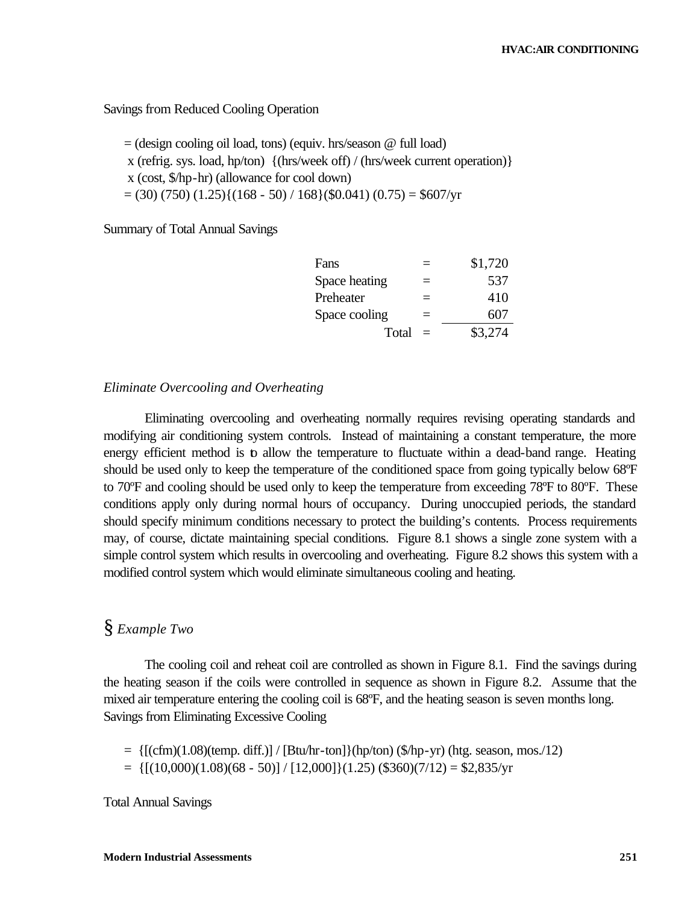### Savings from Reduced Cooling Operation

= (design cooling oil load, tons) (equiv. hrs/season @ full load) x (refrig. sys. load, hp/ton) {(hrs/week off) / (hrs/week current operation)} x (cost, \$/hp-hr) (allowance for cool down)  $= (30) (750) (1.25) {(168 - 50) / 168} (\$0.041) (0.75) = \$607/yr$ 

Summary of Total Annual Savings

|     | \$1,720 |
|-----|---------|
|     | 537     |
|     | 410     |
| $=$ | 607     |
|     | \$3,274 |
|     |         |

#### *Eliminate Overcooling and Overheating*

Eliminating overcooling and overheating normally requires revising operating standards and modifying air conditioning system controls. Instead of maintaining a constant temperature, the more energy efficient method is to allow the temperature to fluctuate within a dead-band range. Heating should be used only to keep the temperature of the conditioned space from going typically below 68ºF to 70ºF and cooling should be used only to keep the temperature from exceeding 78ºF to 80ºF. These conditions apply only during normal hours of occupancy. During unoccupied periods, the standard should specify minimum conditions necessary to protect the building's contents. Process requirements may, of course, dictate maintaining special conditions. Figure 8.1 shows a single zone system with a simple control system which results in overcooling and overheating. Figure 8.2 shows this system with a modified control system which would eliminate simultaneous cooling and heating.

## § *Example Two*

The cooling coil and reheat coil are controlled as shown in Figure 8.1. Find the savings during the heating season if the coils were controlled in sequence as shown in Figure 8.2. Assume that the mixed air temperature entering the cooling coil is 68ºF, and the heating season is seven months long. Savings from Eliminating Excessive Cooling

 $= \{[(cfm)(1.08)(temp. diff.)] / [But/hr-ton]\}(hp/ton)$  (\$/hp-yr) (htg. season, mos./12)  $= \{[(10,000)(1.08)(68 - 50)] / [12,000] \}(1.25)$  (\$360)(7/12) = \$2,835/yr

Total Annual Savings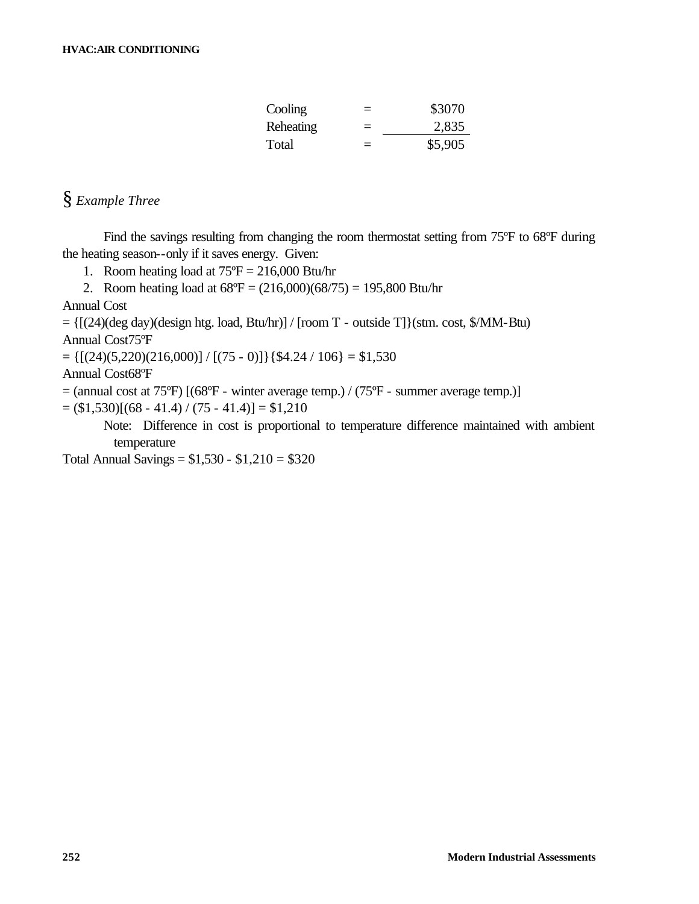| Cooling   | $=$ | \$3070  |
|-----------|-----|---------|
| Reheating | $=$ | 2,835   |
| Total     | $=$ | \$5,905 |

## § *Example Three*

Find the savings resulting from changing the room thermostat setting from 75°F to 68°F during the heating season--only if it saves energy. Given:

- 1. Room heating load at  $75^{\circ}F = 216,000$  Btu/hr
- 2. Room heating load at  $68^{\circ}F = (216,000)(68/75) = 195,800$  Btu/hr

Annual Cost

 $= \{[(24)(\text{deg day})(\text{design htg. load}, \text{Btu/hr})] / [\text{room T - outside T}]\}(\text{stm. cost}, \text{$}1\text{MM-Btu})$ 

Annual Cost75ºF

 $= \{ [(24)(5,220)(216,000)] / [(75 - 0)] \} \}$   $[ $4.24 / 106 ] = $1,530$ 

Annual Cost68ºF

 $=$  (annual cost at 75°F) [(68°F - winter average temp.) / (75°F - summer average temp.)]

 $= (1,530)$ [(68 - 41.4) / (75 - 41.4)] = \$1,210

Note: Difference in cost is proportional to temperature difference maintained with ambient temperature

Total Annual Savings =  $$1,530 - $1,210 = $320$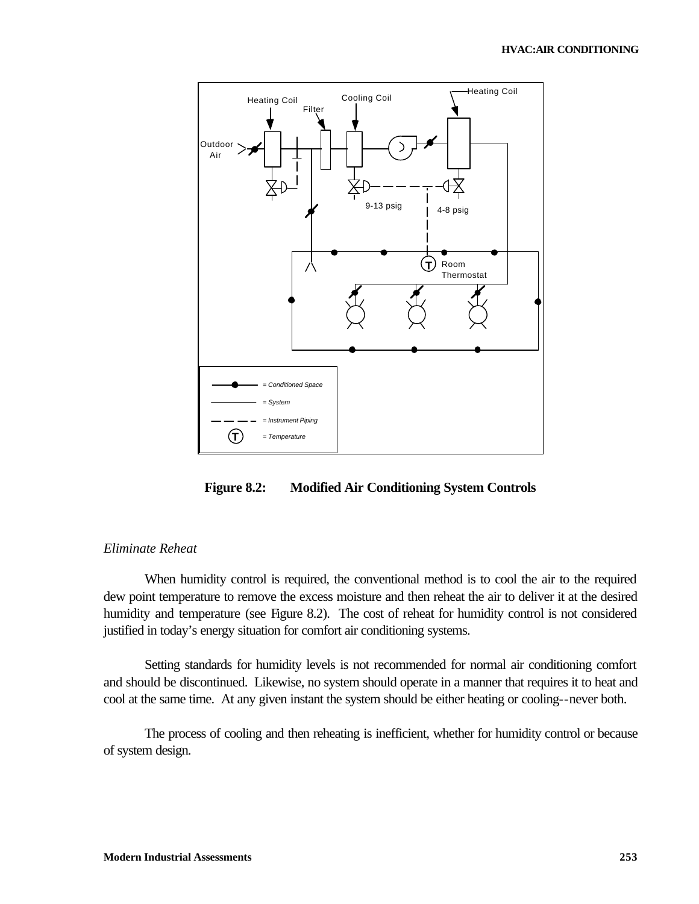

**Figure 8.2: Modified Air Conditioning System Controls**

## *Eliminate Reheat*

When humidity control is required, the conventional method is to cool the air to the required dew point temperature to remove the excess moisture and then reheat the air to deliver it at the desired humidity and temperature (see Figure 8.2). The cost of reheat for humidity control is not considered justified in today's energy situation for comfort air conditioning systems.

Setting standards for humidity levels is not recommended for normal air conditioning comfort and should be discontinued. Likewise, no system should operate in a manner that requires it to heat and cool at the same time. At any given instant the system should be either heating or cooling--never both.

The process of cooling and then reheating is inefficient, whether for humidity control or because of system design.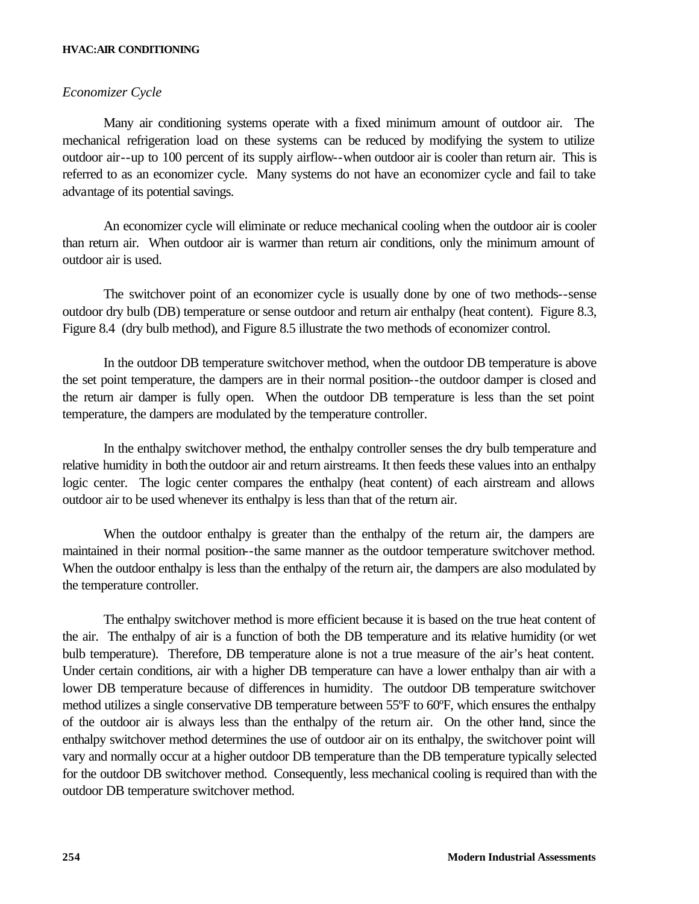#### **HVAC:AIR CONDITIONING**

## *Economizer Cycle*

Many air conditioning systems operate with a fixed minimum amount of outdoor air. The mechanical refrigeration load on these systems can be reduced by modifying the system to utilize outdoor air--up to 100 percent of its supply airflow--when outdoor air is cooler than return air. This is referred to as an economizer cycle. Many systems do not have an economizer cycle and fail to take advantage of its potential savings.

An economizer cycle will eliminate or reduce mechanical cooling when the outdoor air is cooler than return air. When outdoor air is warmer than return air conditions, only the minimum amount of outdoor air is used.

The switchover point of an economizer cycle is usually done by one of two methods--sense outdoor dry bulb (DB) temperature or sense outdoor and return air enthalpy (heat content). Figure 8.3, Figure 8.4 (dry bulb method), and Figure 8.5 illustrate the two methods of economizer control.

In the outdoor DB temperature switchover method, when the outdoor DB temperature is above the set point temperature, the dampers are in their normal position--the outdoor damper is closed and the return air damper is fully open. When the outdoor DB temperature is less than the set point temperature, the dampers are modulated by the temperature controller.

In the enthalpy switchover method, the enthalpy controller senses the dry bulb temperature and relative humidity in both the outdoor air and return airstreams. It then feeds these values into an enthalpy logic center. The logic center compares the enthalpy (heat content) of each airstream and allows outdoor air to be used whenever its enthalpy is less than that of the return air.

When the outdoor enthalpy is greater than the enthalpy of the return air, the dampers are maintained in their normal position--the same manner as the outdoor temperature switchover method. When the outdoor enthalpy is less than the enthalpy of the return air, the dampers are also modulated by the temperature controller.

The enthalpy switchover method is more efficient because it is based on the true heat content of the air. The enthalpy of air is a function of both the DB temperature and its relative humidity (or wet bulb temperature). Therefore, DB temperature alone is not a true measure of the air's heat content. Under certain conditions, air with a higher DB temperature can have a lower enthalpy than air with a lower DB temperature because of differences in humidity. The outdoor DB temperature switchover method utilizes a single conservative DB temperature between 55°F to 60°F, which ensures the enthalpy of the outdoor air is always less than the enthalpy of the return air. On the other hand, since the enthalpy switchover method determines the use of outdoor air on its enthalpy, the switchover point will vary and normally occur at a higher outdoor DB temperature than the DB temperature typically selected for the outdoor DB switchover method. Consequently, less mechanical cooling is required than with the outdoor DB temperature switchover method.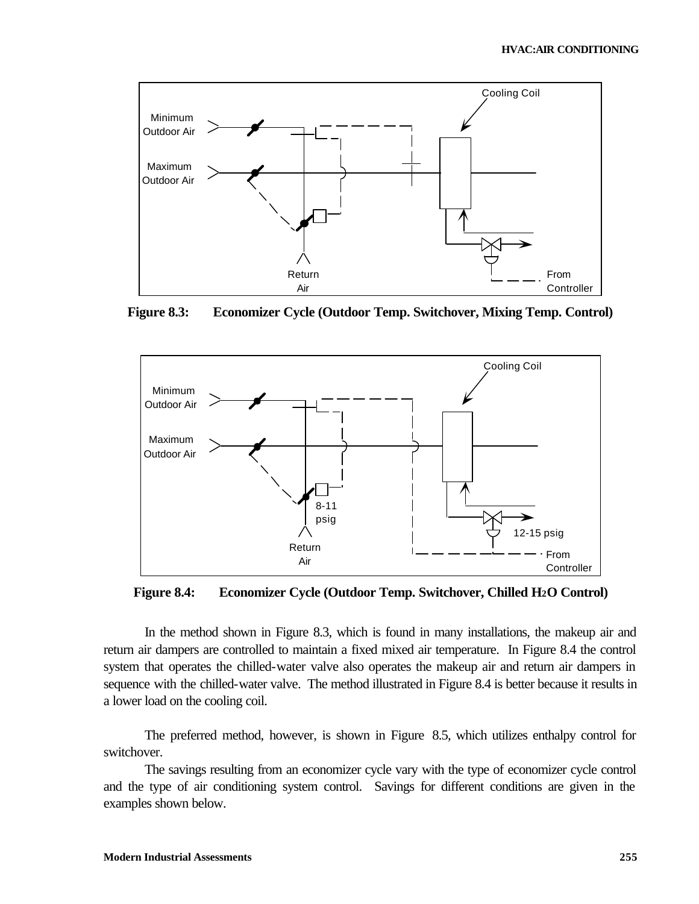

**Figure 8.3: Economizer Cycle (Outdoor Temp. Switchover, Mixing Temp. Control)**



**Figure 8.4: Economizer Cycle (Outdoor Temp. Switchover, Chilled H2O Control)**

In the method shown in Figure 8.3, which is found in many installations, the makeup air and return air dampers are controlled to maintain a fixed mixed air temperature. In Figure 8.4 the control system that operates the chilled-water valve also operates the makeup air and return air dampers in sequence with the chilled-water valve. The method illustrated in Figure 8.4 is better because it results in a lower load on the cooling coil.

The preferred method, however, is shown in Figure 8.5, which utilizes enthalpy control for switchover.

The savings resulting from an economizer cycle vary with the type of economizer cycle control and the type of air conditioning system control. Savings for different conditions are given in the examples shown below.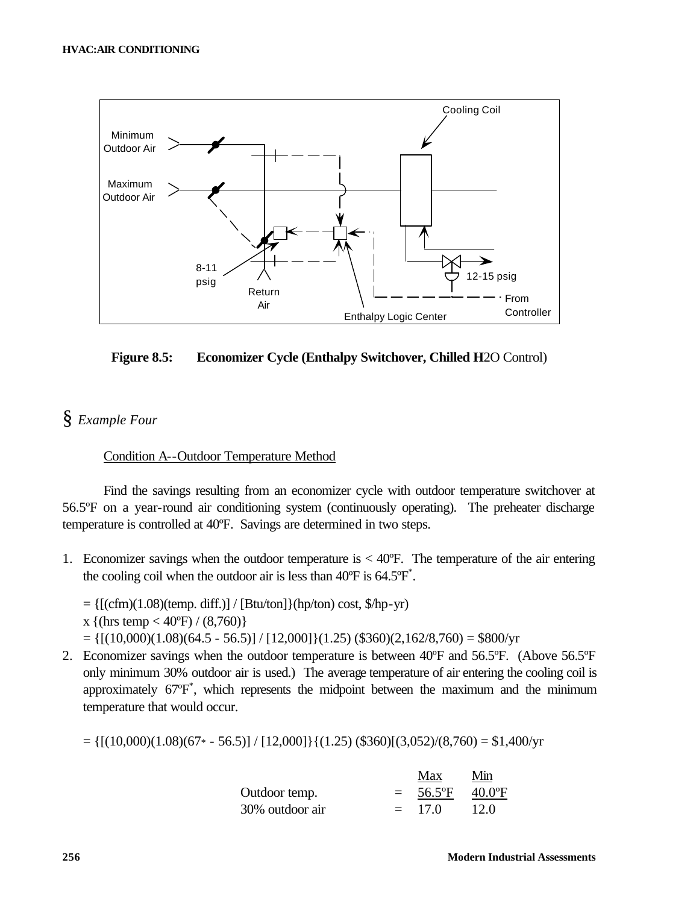

**Figure 8.5: Economizer Cycle (Enthalpy Switchover, Chilled H**2O Control)

## § *Example Four*

## Condition A--Outdoor Temperature Method

Find the savings resulting from an economizer cycle with outdoor temperature switchover at 56.5ºF on a year-round air conditioning system (continuously operating). The preheater discharge temperature is controlled at 40ºF. Savings are determined in two steps.

- 1. Economizer savings when the outdoor temperature is  $<$  40 $<$ F. The temperature of the air entering the cooling coil when the outdoor air is less than  $40^{\circ}$ F is  $64.5^{\circ}$ F<sup>\*</sup>.
	- $= \{[(cfm)(1.08)(temp. diff.)] / [But/ton] \} (hp/ton) cost, \frac{6}{hp-yr})$
	- x {(hrs temp <  $40^{\circ}$ F) / (8,760)}
	- $= \{[(10,000)(1.08)(64.5 56.5)] / [12,000] \}(1.25)$  (\$360)(2,162/8,760) = \$800/yr
- 2. Economizer savings when the outdoor temperature is between 40ºF and 56.5ºF. (Above 56.5ºF only minimum 30% outdoor air is used.) The average temperature of air entering the cooling coil is approximately 67ºF\* , which represents the midpoint between the maximum and the minimum temperature that would occur.

 $= \{[(10,000)(1.08)(67* - 56.5)] / [12,000] \} \{(1.25)(\$360)[(3,052)/(8,760) = \$1,400/\text{yr}\}$ 

|                 |     | Max      | Min             |
|-----------------|-----|----------|-----------------|
| Outdoor temp.   | $=$ | 56.5°F   | $40.0\text{°F}$ |
| 30% outdoor air |     | $= 17.0$ | 12.0            |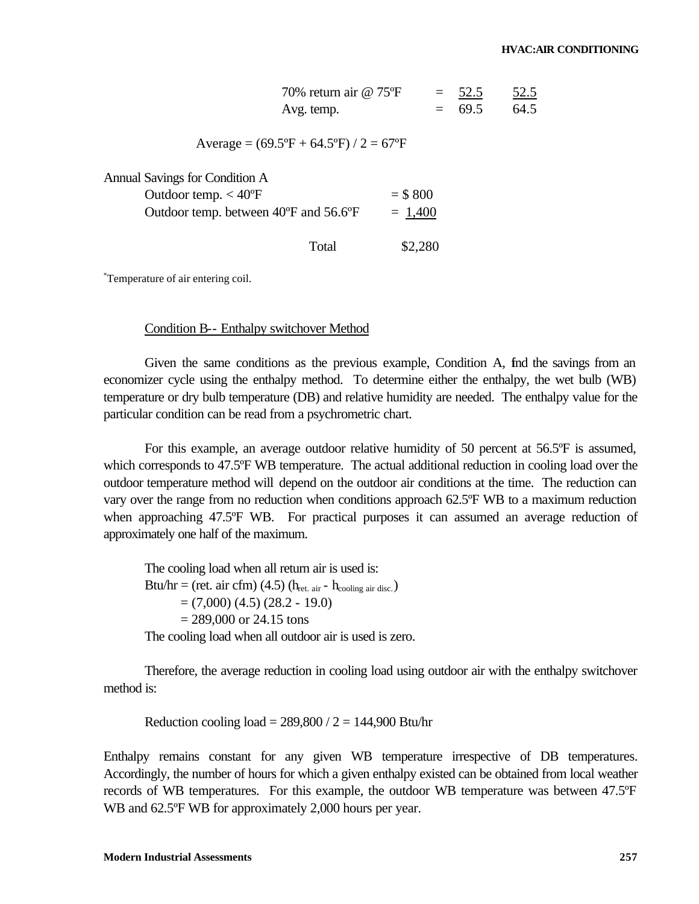| 70% return air @ 75°F | $= 52.5$ | 52.5 |
|-----------------------|----------|------|
| Avg. temp.            | $= 69.5$ | 64.5 |

Average =  $(69.5^{\circ}F + 64.5^{\circ}F)/2 = 67^{\circ}F$ 

Annual Savings for Condition A

| Outdoor temp. $<$ 40 $\degree$ F      | $= $800$  |
|---------------------------------------|-----------|
| Outdoor temp. between 40°F and 56.6°F | $= 1,400$ |

Total \$2,280

\* Temperature of air entering coil.

Condition B-- Enthalpy switchover Method

Given the same conditions as the previous example, Condition A, find the savings from an economizer cycle using the enthalpy method. To determine either the enthalpy, the wet bulb (WB) temperature or dry bulb temperature (DB) and relative humidity are needed. The enthalpy value for the particular condition can be read from a psychrometric chart.

For this example, an average outdoor relative humidity of 50 percent at 56.5 $\overline{CP}$  is assumed, which corresponds to 47.5 $\rm$ °F WB temperature. The actual additional reduction in cooling load over the outdoor temperature method will depend on the outdoor air conditions at the time. The reduction can vary over the range from no reduction when conditions approach 62.5ºF WB to a maximum reduction when approaching 47.5ºF WB. For practical purposes it can assumed an average reduction of approximately one half of the maximum.

The cooling load when all return air is used is: Btu/hr = (ret. air cfm) (4.5) ( $h_{\text{ret. air}}$  -  $h_{\text{cooling air disc.}}$ )  $=(7,000)$   $(4.5)$   $(28.2 - 19.0)$  $= 289,000$  or 24.15 tons

The cooling load when all outdoor air is used is zero.

Therefore, the average reduction in cooling load using outdoor air with the enthalpy switchover method is:

Reduction cooling load =  $289,800 / 2 = 144,900$  Btu/hr

Enthalpy remains constant for any given WB temperature irrespective of DB temperatures. Accordingly, the number of hours for which a given enthalpy existed can be obtained from local weather records of WB temperatures. For this example, the outdoor WB temperature was between 47.5ºF WB and  $62.5^{\circ}$ F WB for approximately 2,000 hours per year.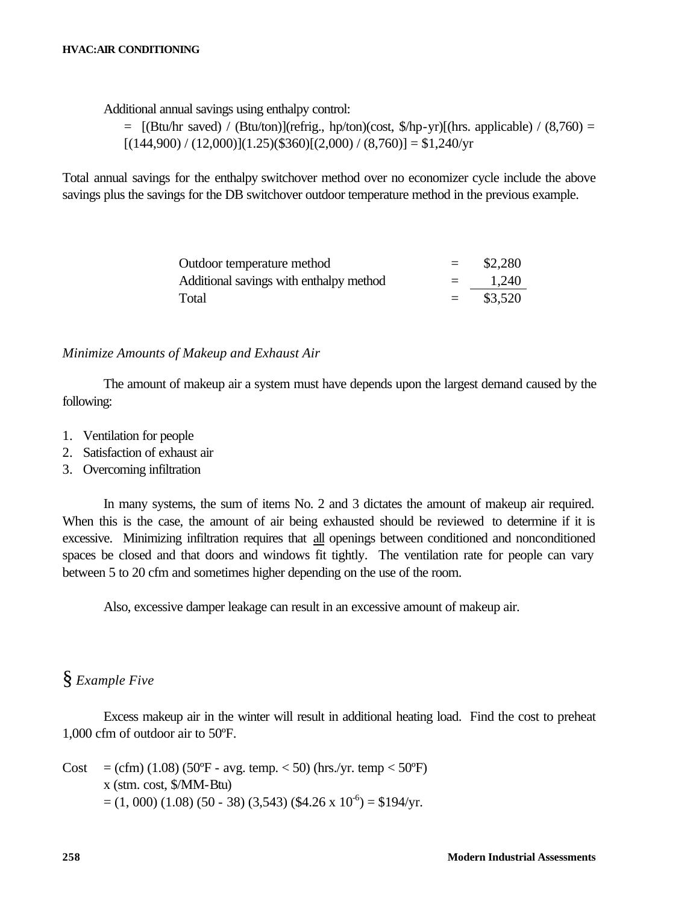Additional annual savings using enthalpy control:

 $=$  [(Btu/hr saved) / (Btu/ton)](refrig., hp/ton)(cost, \$/hp-yr)[(hrs. applicable) / (8,760) =  $[(144,900) / (12,000)](1.25)($360)[(2,000) / (8,760)] = $1,240/yr$ 

Total annual savings for the enthalpy switchover method over no economizer cycle include the above savings plus the savings for the DB switchover outdoor temperature method in the previous example.

| Outdoor temperature method              | $=$      | \$2,280 |
|-----------------------------------------|----------|---------|
| Additional savings with enthalpy method | $=$ $-$  | 1,240   |
| Total                                   | $\equiv$ | \$3,520 |

#### *Minimize Amounts of Makeup and Exhaust Air*

The amount of makeup air a system must have depends upon the largest demand caused by the following:

- 1. Ventilation for people
- 2. Satisfaction of exhaust air
- 3. Overcoming infiltration

In many systems, the sum of items No. 2 and 3 dictates the amount of makeup air required. When this is the case, the amount of air being exhausted should be reviewed to determine if it is excessive. Minimizing infiltration requires that all openings between conditioned and nonconditioned spaces be closed and that doors and windows fit tightly. The ventilation rate for people can vary between 5 to 20 cfm and sometimes higher depending on the use of the room.

Also, excessive damper leakage can result in an excessive amount of makeup air.

## § *Example Five*

Excess makeup air in the winter will result in additional heating load. Find the cost to preheat 1,000 cfm of outdoor air to 50ºF.

Cost  $= (cfm) (1.08) (50^{\circ}F - avg. \text{temp.} < 50) (\text{hrs./yr. temp} < 50^{\circ}F)$ x (stm. cost, \$/MM-Btu)  $= (1,000) (1.08) (50 - 38) (3,543)$  (\$4.26 x 10<sup>-6</sup>) = \$194/yr.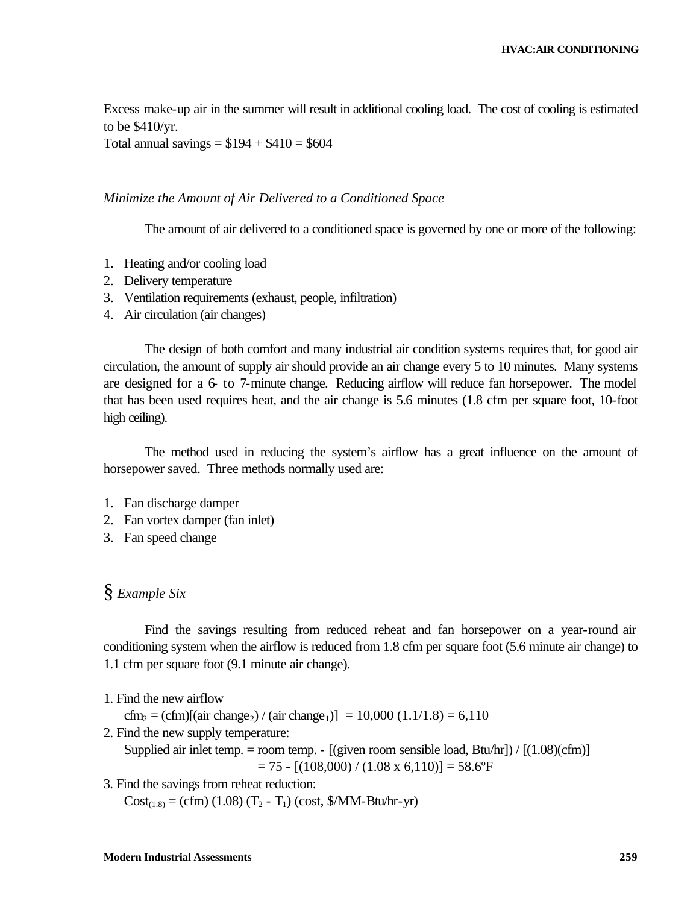Excess make-up air in the summer will result in additional cooling load. The cost of cooling is estimated to be \$410/yr.

Total annual savings =  $$194 + $410 = $604$ 

#### *Minimize the Amount of Air Delivered to a Conditioned Space*

The amount of air delivered to a conditioned space is governed by one or more of the following:

- 1. Heating and/or cooling load
- 2. Delivery temperature
- 3. Ventilation requirements (exhaust, people, infiltration)
- 4. Air circulation (air changes)

The design of both comfort and many industrial air condition systems requires that, for good air circulation, the amount of supply air should provide an air change every 5 to 10 minutes. Many systems are designed for a 6- to 7-minute change. Reducing airflow will reduce fan horsepower. The model that has been used requires heat, and the air change is 5.6 minutes (1.8 cfm per square foot, 10-foot high ceiling).

The method used in reducing the system's airflow has a great influence on the amount of horsepower saved. Three methods normally used are:

- 1. Fan discharge damper
- 2. Fan vortex damper (fan inlet)
- 3. Fan speed change

## § *Example Six*

Find the savings resulting from reduced reheat and fan horsepower on a year-round air conditioning system when the airflow is reduced from 1.8 cfm per square foot (5.6 minute air change) to 1.1 cfm per square foot (9.1 minute air change).

1. Find the new airflow

cfm<sub>2</sub> = (cfm)[(air change<sub>2</sub>) / (air change<sub>1</sub>)] = 10,000 (1.1/1.8) = 6,110

2. Find the new supply temperature:

Supplied air inlet temp. = room temp. -  $[(given room sensible load, Btu/hr]/[(1.08)(cfm)]$  $= 75 - [(108,000) / (1.08 \times 6,110)] = 58.6^{\circ}$ F

3. Find the savings from reheat reduction:

 $Cost_{(1.8)} = (cfm) (1.08) (T_2 - T_1) (cost, $/MM-Btu/hr-yr)$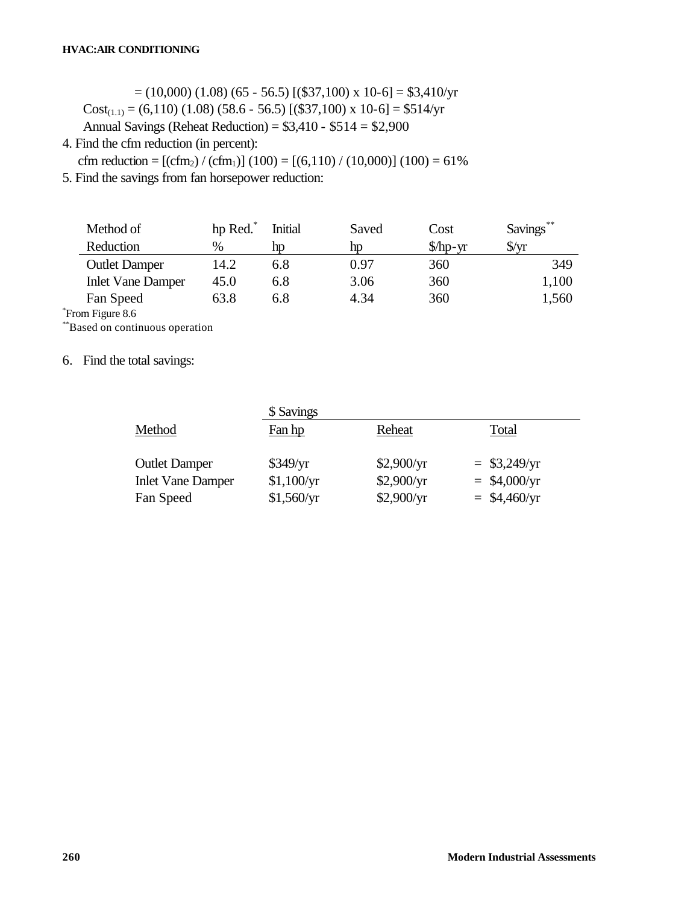$= (10,000) (1.08) (65 - 56.5) [($37,100) x 10-6] = $3,410/yr$ Cost<sub>(1.1)</sub> = (6,110) (1.08) (58.6 - 56.5) [(\$37,100) x 10-6] = \$514/yr Annual Savings (Reheat Reduction) = \$3,410 - \$514 = \$2,900

4. Find the cfm reduction (in percent):

cfm reduction =  $[(cfm<sub>2</sub>) / (cfm<sub>1</sub>)] (100) = [(6,110) / (10,000)] (100) = 61\%$ 

5. Find the savings from fan horsepower reduction:

| Method of                | hp Red. | Initial | Saved | Cost                                | Savings**      |
|--------------------------|---------|---------|-------|-------------------------------------|----------------|
| Reduction                | $\%$    | hp      | hp    | $$\hbox{\ensuremath{\mathcal{M}}}$$ | $\sqrt{$}$ /yr |
| <b>Outlet Damper</b>     | 14.2    | 6.8     | 0.97  | 360                                 | 349            |
| <b>Inlet Vane Damper</b> | 45.0    | 6.8     | 3.06  | 360                                 | 1,100          |
| Fan Speed                | 63.8    | 6.8     | 4.34  | 360                                 | 1,560          |
| om Figure 8.6            |         |         |       |                                     |                |

\* From Figure 8.6

\*\*Based on continuous operation

6. Find the total savings:

|                          | \$ Savings |            |                |  |  |
|--------------------------|------------|------------|----------------|--|--|
| Method                   | Fan hp     | Reheat     | Total          |  |  |
| <b>Outlet Damper</b>     | \$349/yr   | \$2,900/yr | $=$ \$3,249/yr |  |  |
| <b>Inlet Vane Damper</b> | \$1,100/yr | \$2,900/yr | $=$ \$4,000/yr |  |  |
| Fan Speed                | \$1,560/yr | \$2,900/yr | $=$ \$4,460/yr |  |  |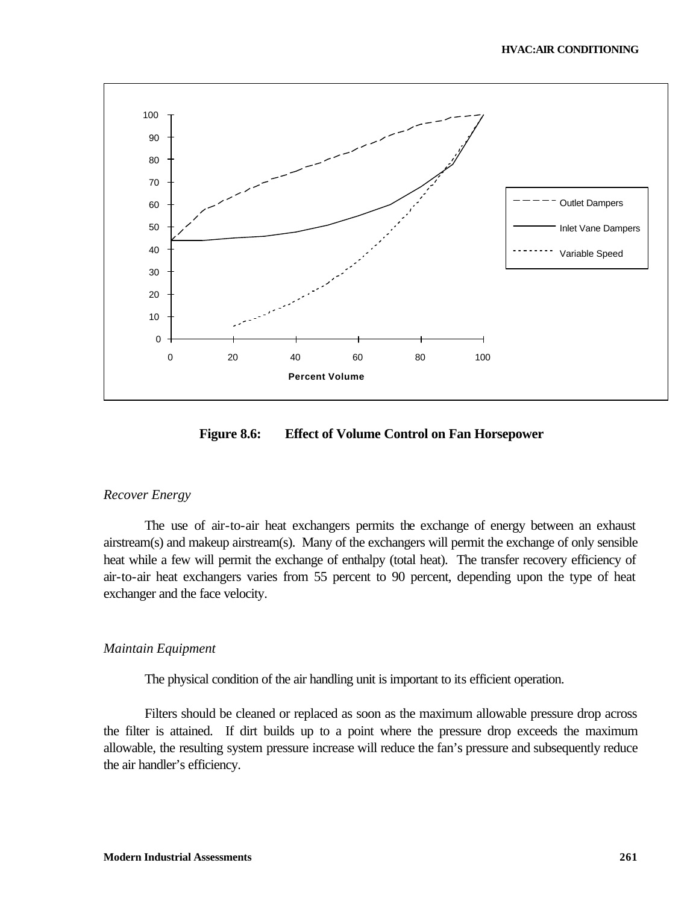

**Figure 8.6: Effect of Volume Control on Fan Horsepower**

#### *Recover Energy*

The use of air-to-air heat exchangers permits the exchange of energy between an exhaust airstream(s) and makeup airstream(s). Many of the exchangers will permit the exchange of only sensible heat while a few will permit the exchange of enthalpy (total heat). The transfer recovery efficiency of air-to-air heat exchangers varies from 55 percent to 90 percent, depending upon the type of heat exchanger and the face velocity.

#### *Maintain Equipment*

The physical condition of the air handling unit is important to its efficient operation.

Filters should be cleaned or replaced as soon as the maximum allowable pressure drop across the filter is attained. If dirt builds up to a point where the pressure drop exceeds the maximum allowable, the resulting system pressure increase will reduce the fan's pressure and subsequently reduce the air handler's efficiency.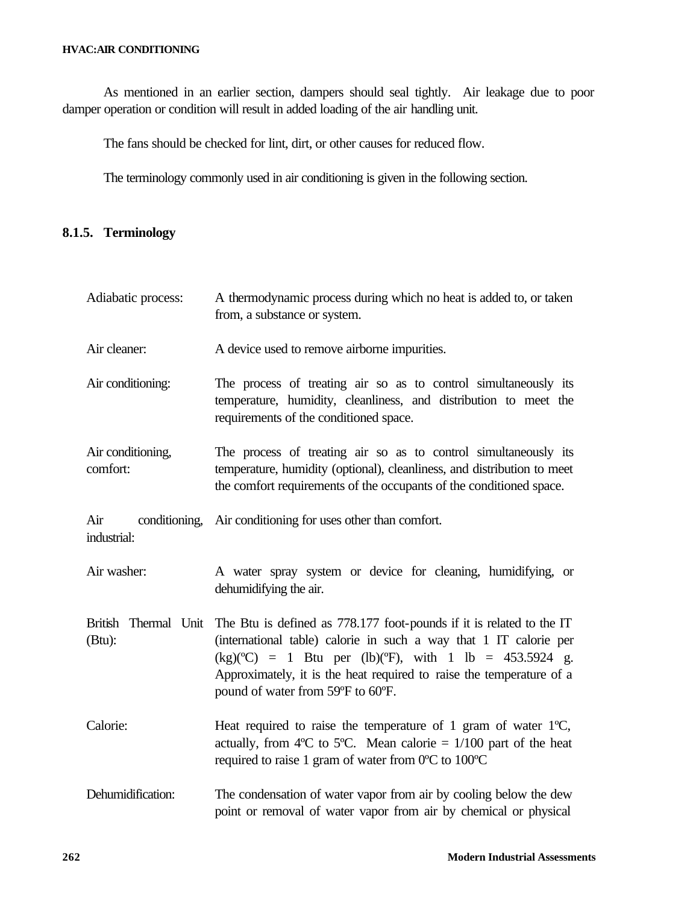#### **HVAC:AIR CONDITIONING**

As mentioned in an earlier section, dampers should seal tightly. Air leakage due to poor damper operation or condition will result in added loading of the air handling unit.

The fans should be checked for lint, dirt, or other causes for reduced flow.

The terminology commonly used in air conditioning is given in the following section.

## **8.1.5. Terminology**

| Adiabatic process:             | A thermodynamic process during which no heat is added to, or taken<br>from, a substance or system.                                                                                                                                                                                                                                   |  |  |
|--------------------------------|--------------------------------------------------------------------------------------------------------------------------------------------------------------------------------------------------------------------------------------------------------------------------------------------------------------------------------------|--|--|
| Air cleaner:                   | A device used to remove airborne impurities.                                                                                                                                                                                                                                                                                         |  |  |
| Air conditioning:              | The process of treating air so as to control simultaneously its<br>temperature, humidity, cleanliness, and distribution to meet the<br>requirements of the conditioned space.                                                                                                                                                        |  |  |
| Air conditioning,<br>comfort:  | The process of treating air so as to control simultaneously its<br>temperature, humidity (optional), cleanliness, and distribution to meet<br>the comfort requirements of the occupants of the conditioned space.                                                                                                                    |  |  |
| Air<br>industrial:             | conditioning, Air conditioning for uses other than comfort.                                                                                                                                                                                                                                                                          |  |  |
| Air washer:                    | A water spray system or device for cleaning, humidifying, or<br>dehumidifying the air.                                                                                                                                                                                                                                               |  |  |
| British Thermal Unit<br>(Btu): | The Btu is defined as 778.177 foot-pounds if it is related to the IT<br>(international table) calorie in such a way that 1 IT calorie per<br>$(kg)(^{\circ}C) = 1$ Btu per (lb)( $^{\circ}F$ ), with 1 lb = 453.5924 g.<br>Approximately, it is the heat required to raise the temperature of a<br>pound of water from 59°F to 60°F. |  |  |
| Calorie:                       | Heat required to raise the temperature of 1 gram of water $1^{\circ}C$ ,<br>actually, from 4°C to 5°C. Mean calorie = $1/100$ part of the heat<br>required to raise 1 gram of water from 0°C to 100°C                                                                                                                                |  |  |
| Dehumidification:              | The condensation of water vapor from air by cooling below the dew<br>point or removal of water vapor from air by chemical or physical                                                                                                                                                                                                |  |  |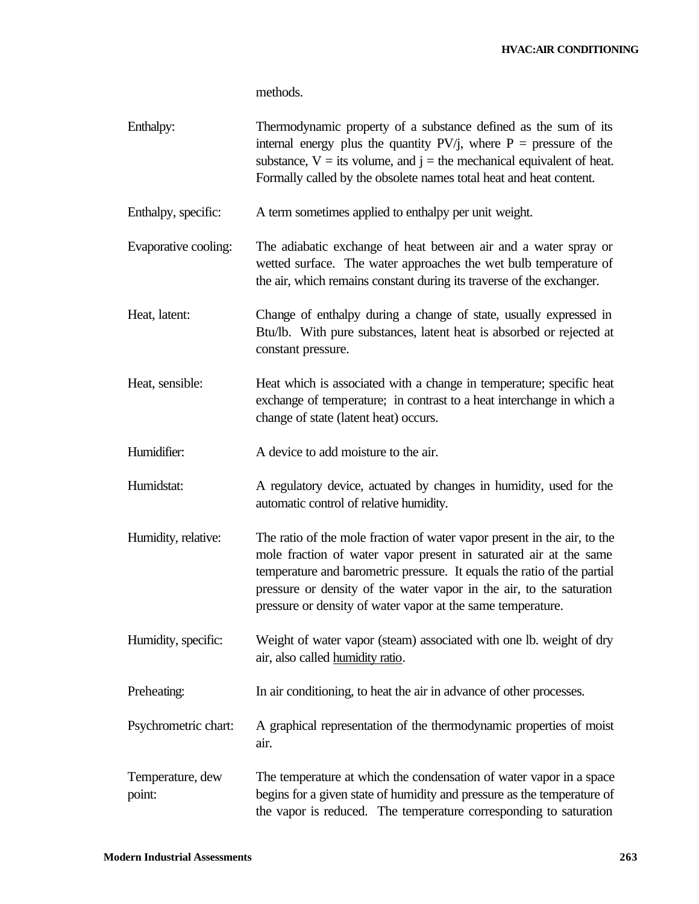#### **HVAC:AIR CONDITIONING**

methods.

| Enthalpy:                  | Thermodynamic property of a substance defined as the sum of its<br>internal energy plus the quantity $PV/j$ , where $P =$ pressure of the<br>substance, $V =$ its volume, and $j =$ the mechanical equivalent of heat.<br>Formally called by the obsolete names total heat and heat content.                                                                    |
|----------------------------|-----------------------------------------------------------------------------------------------------------------------------------------------------------------------------------------------------------------------------------------------------------------------------------------------------------------------------------------------------------------|
| Enthalpy, specific:        | A term sometimes applied to enthalpy per unit weight.                                                                                                                                                                                                                                                                                                           |
| Evaporative cooling:       | The adiabatic exchange of heat between air and a water spray or<br>wetted surface. The water approaches the wet bulb temperature of<br>the air, which remains constant during its traverse of the exchanger.                                                                                                                                                    |
| Heat, latent:              | Change of enthalpy during a change of state, usually expressed in<br>Btu/lb. With pure substances, latent heat is absorbed or rejected at<br>constant pressure.                                                                                                                                                                                                 |
| Heat, sensible:            | Heat which is associated with a change in temperature; specific heat<br>exchange of temperature; in contrast to a heat interchange in which a<br>change of state (latent heat) occurs.                                                                                                                                                                          |
| Humidifier:                | A device to add moisture to the air.                                                                                                                                                                                                                                                                                                                            |
| Humidstat:                 | A regulatory device, actuated by changes in humidity, used for the<br>automatic control of relative humidity.                                                                                                                                                                                                                                                   |
| Humidity, relative:        | The ratio of the mole fraction of water vapor present in the air, to the<br>mole fraction of water vapor present in saturated air at the same<br>temperature and barometric pressure. It equals the ratio of the partial<br>pressure or density of the water vapor in the air, to the saturation<br>pressure or density of water vapor at the same temperature. |
| Humidity, specific:        | Weight of water vapor (steam) associated with one lb. weight of dry<br>air, also called <b>humidity</b> ratio.                                                                                                                                                                                                                                                  |
| Preheating:                | In air conditioning, to heat the air in advance of other processes.                                                                                                                                                                                                                                                                                             |
| Psychrometric chart:       | A graphical representation of the thermodynamic properties of moist<br>air.                                                                                                                                                                                                                                                                                     |
| Temperature, dew<br>point: | The temperature at which the condensation of water vapor in a space<br>begins for a given state of humidity and pressure as the temperature of<br>the vapor is reduced. The temperature corresponding to saturation                                                                                                                                             |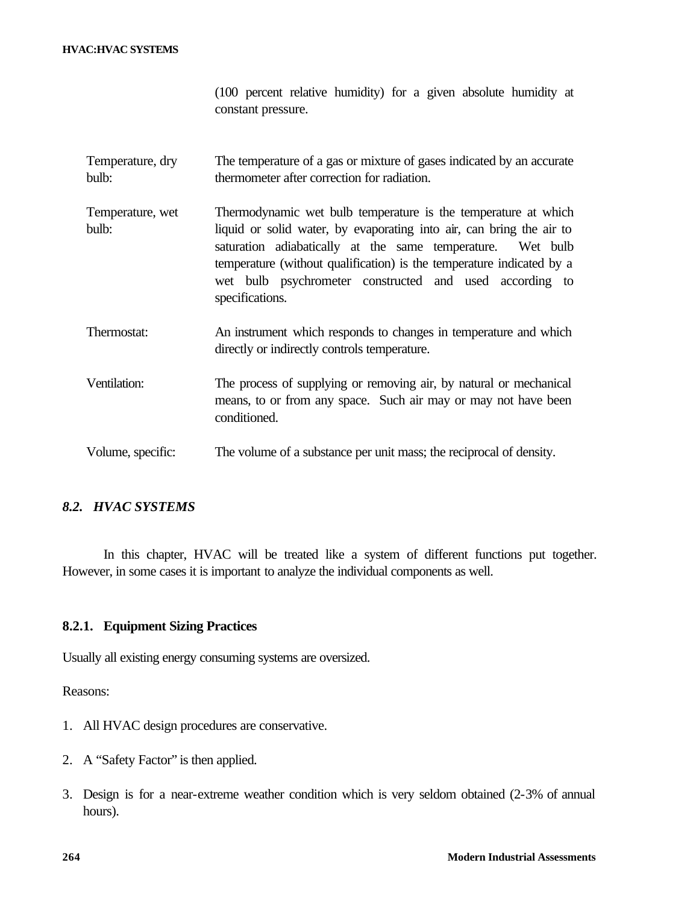#### **HVAC:HVAC SYSTEMS**

|  |                    | (100 percent relative humidity) for a given absolute humidity at |  |  |  |
|--|--------------------|------------------------------------------------------------------|--|--|--|
|  | constant pressure. |                                                                  |  |  |  |

- Temperature, dry bulb: The temperature of a gas or mixture of gases indicated by an accurate thermometer after correction for radiation.
- Temperature, wet bulb: Thermodynamic wet bulb temperature is the temperature at which liquid or solid water, by evaporating into air, can bring the air to saturation adiabatically at the same temperature. Wet bulb temperature (without qualification) is the temperature indicated by a wet bulb psychrometer constructed and used according to specifications.
- Thermostat: An instrument which responds to changes in temperature and which directly or indirectly controls temperature.
- Ventilation: The process of supplying or removing air, by natural or mechanical means, to or from any space. Such air may or may not have been conditioned.
- Volume, specific: The volume of a substance per unit mass; the reciprocal of density.

## *8.2. HVAC SYSTEMS*

In this chapter, HVAC will be treated like a system of different functions put together. However, in some cases it is important to analyze the individual components as well.

#### **8.2.1. Equipment Sizing Practices**

Usually all existing energy consuming systems are oversized.

Reasons:

- 1. All HVAC design procedures are conservative.
- 2. A "Safety Factor" is then applied.
- 3. Design is for a near-extreme weather condition which is very seldom obtained (2-3% of annual hours).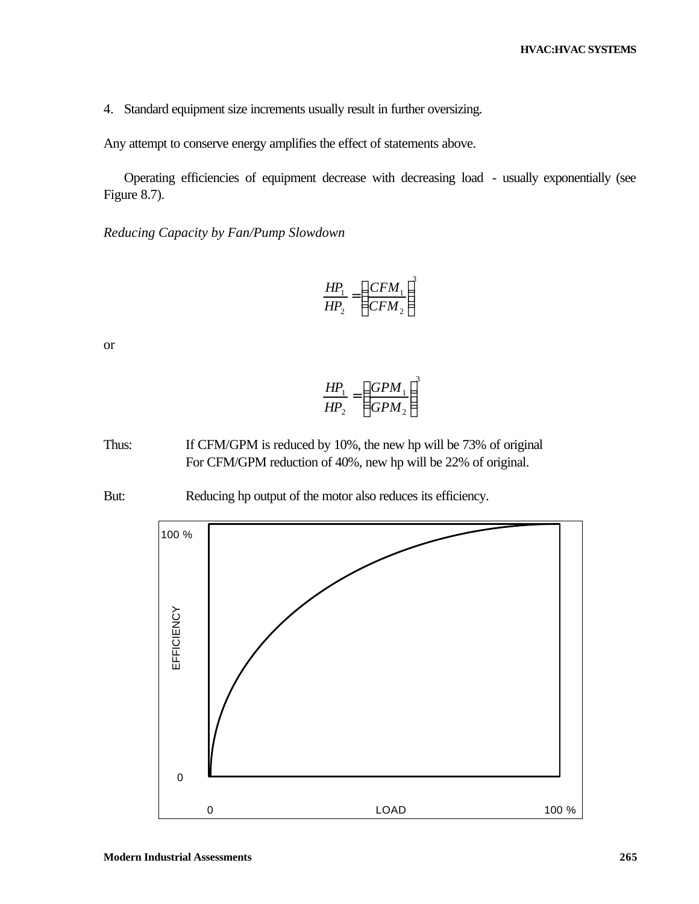4. Standard equipment size increments usually result in further oversizing.

Any attempt to conserve energy amplifies the effect of statements above.

Operating efficiencies of equipment decrease with decreasing load - usually exponentially (see Figure 8.7).

*Reducing Capacity by Fan/Pump Slowdown*

$$
\frac{HP_1}{HP_2} = \left(\frac{CFM_1}{CFM_2}\right)^3
$$

or

$$
\frac{HP_1}{HP_2} = \left(\frac{GPM_1}{GPM_2}\right)^3
$$

Thus: If CFM/GPM is reduced by 10%, the new hp will be 73% of original For CFM/GPM reduction of 40%, new hp will be 22% of original.

But: Reducing hp output of the motor also reduces its efficiency.

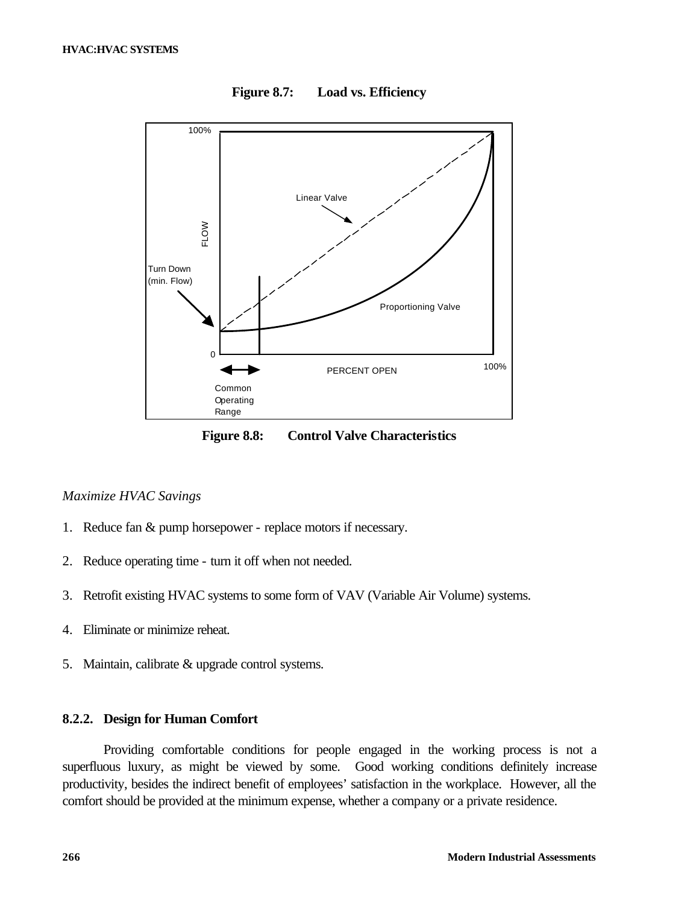

**Figure 8.7: Load vs. Efficiency**

**Figure 8.8: Control Valve Characteristics**

### *Maximize HVAC Savings*

- 1. Reduce fan & pump horsepower replace motors if necessary.
- 2. Reduce operating time turn it off when not needed.
- 3. Retrofit existing HVAC systems to some form of VAV (Variable Air Volume) systems.
- 4. Eliminate or minimize reheat.
- 5. Maintain, calibrate & upgrade control systems.

### **8.2.2. Design for Human Comfort**

Providing comfortable conditions for people engaged in the working process is not a superfluous luxury, as might be viewed by some. Good working conditions definitely increase productivity, besides the indirect benefit of employees' satisfaction in the workplace. However, all the comfort should be provided at the minimum expense, whether a company or a private residence.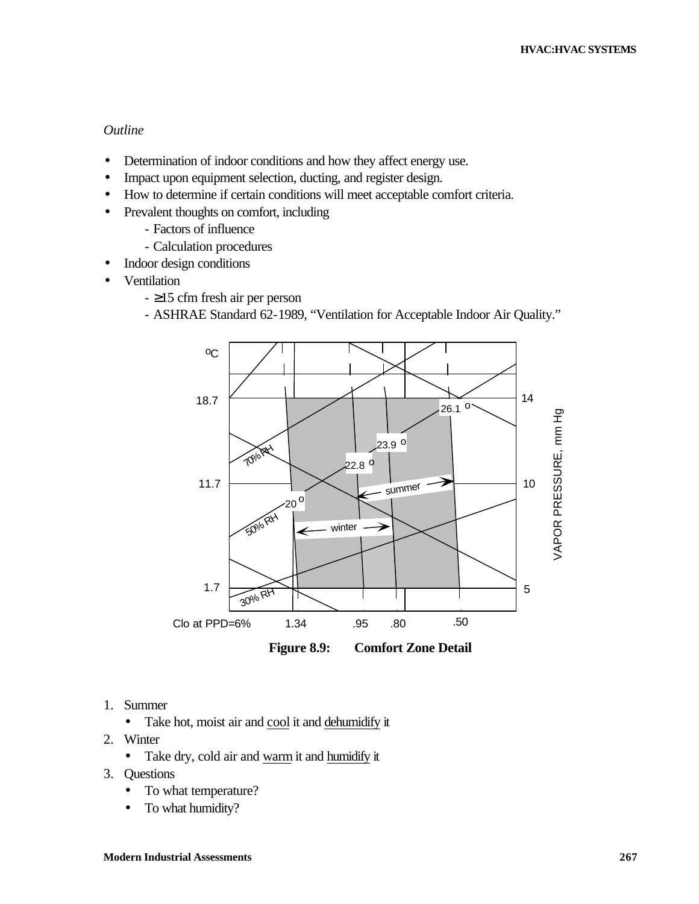## *Outline*

- Determination of indoor conditions and how they affect energy use.
- Impact upon equipment selection, ducting, and register design.
- How to determine if certain conditions will meet acceptable comfort criteria.
- Prevalent thoughts on comfort, including
	- Factors of influence
	- Calculation procedures
- Indoor design conditions
- Ventilation
	- ≥15 cfm fresh air per person
	- ASHRAE Standard 62-1989, "Ventilation for Acceptable Indoor Air Quality."



- 1. Summer
	- Take hot, moist air and cool it and dehumidify it
- 2. Winter
	- Take dry, cold air and warm it and humidify it
- 3. Questions
	- To what temperature?
	- To what humidity?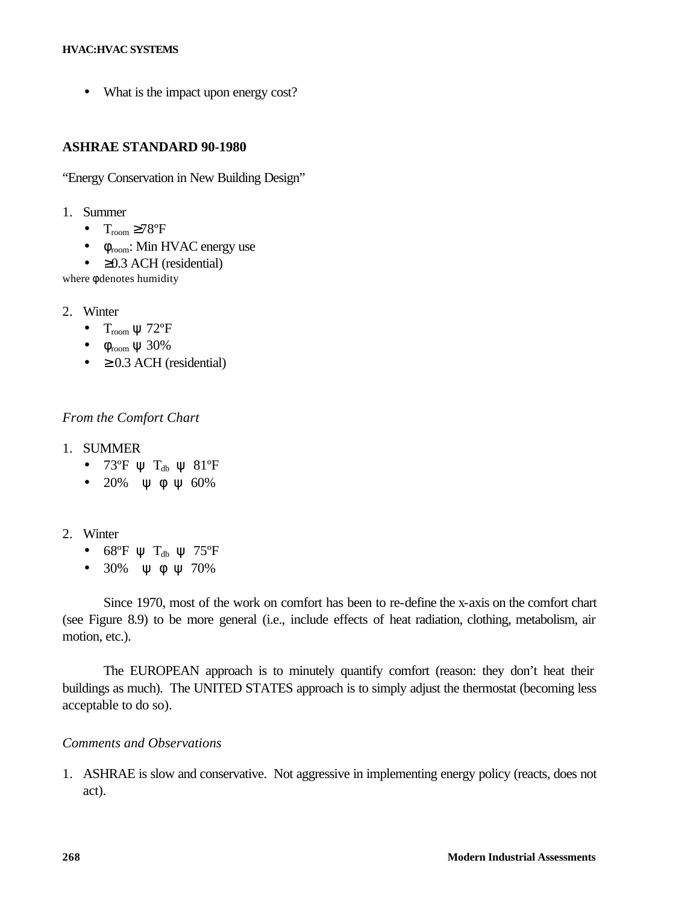#### **HVAC:HVAC SYSTEMS**

• What is the impact upon energy cost?

## **ASHRAE STANDARD 90-1980**

"Energy Conservation in New Building Design"

- 1. Summer
	- $T_{\text{room}} \geq 78^{\circ}F$
	- $\bullet$   $\phi$ <sub>room</sub>: Min HVAC energy use
	- $\geq$  0.3 ACH (residential)

where φ denotes humidity

- 2. Winter
	- $T_{room} \psi$  72°F
	- $\bullet$   $\phi$ <sub>room</sub>  $\psi$  30%
	- $\geq$  0.3 ACH (residential)

## *From the Comfort Chart*

- 1. SUMMER
	- $73^{\circ}F \psi T_{db} \psi 81^{\circ}F$
	- 20%  $\psi$  φ  $\psi$  60%
- 2. Winter
	- 68°F  $\psi$  T<sub>db</sub>  $\psi$  75°F
	- $30\%$   $\forall$  φ  $\forall$  70%

Since 1970, most of the work on comfort has been to re-define the x-axis on the comfort chart (see Figure 8.9) to be more general (i.e., include effects of heat radiation, clothing, metabolism, air motion, etc.).

The EUROPEAN approach is to minutely quantify comfort (reason: they don't heat their buildings as much). The UNITED STATES approach is to simply adjust the thermostat (becoming less acceptable to do so).

## *Comments and Observations*

1. ASHRAE is slow and conservative. Not aggressive in implementing energy policy (reacts, does not act).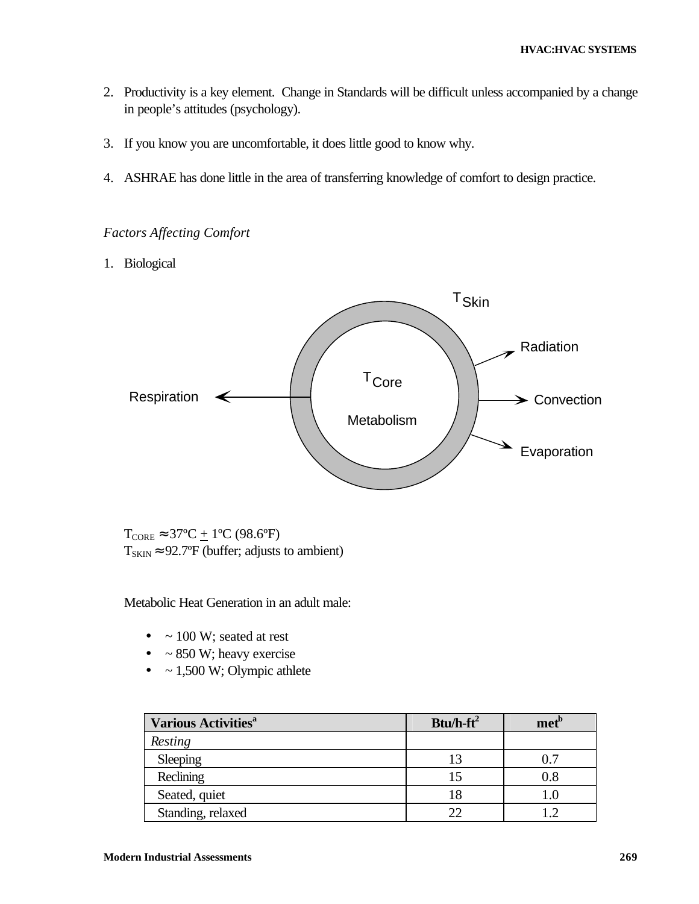- 2. Productivity is a key element. Change in Standards will be difficult unless accompanied by a change in people's attitudes (psychology).
- 3. If you know you are uncomfortable, it does little good to know why.
- 4. ASHRAE has done little in the area of transferring knowledge of comfort to design practice.

## *Factors Affecting Comfort*

1. Biological



 $T_{\text{CORE}} \approx 37^{\circ}\text{C} + 1^{\circ}\text{C}$  (98.6°F)  $T_{SKIN} \approx 92.7$ °F (buffer; adjusts to ambient)

Metabolic Heat Generation in an adult male:

- $\bullet$  ~ 100 W; seated at rest
- $\bullet$  ~ 850 W; heavy exercise
- $\bullet$  ~ 1,500 W; Olympic athlete

| <b>Various Activities</b> <sup>a</sup> | $Btu/h-ft^2$ | met <sup>p</sup> |
|----------------------------------------|--------------|------------------|
| Resting                                |              |                  |
| Sleeping                               | 13           | 0.7              |
| Reclining                              | 15           | $\rm 0.8$        |
| Seated, quiet                          | 18           | l .O             |
| Standing, relaxed                      | つつ           | ാ                |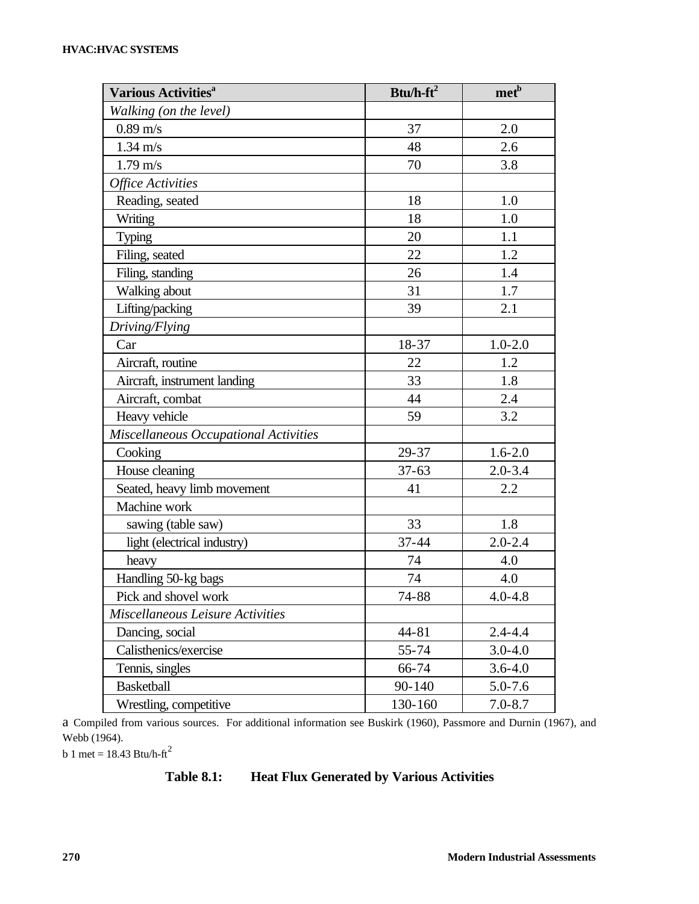| Various Activities <sup>a</sup>       | Btu/h- $ft^2$ | met <sup>b</sup> |
|---------------------------------------|---------------|------------------|
| Walking (on the level)                |               |                  |
| $0.89 \text{ m/s}$                    | 37            | 2.0              |
| $1.34 \text{ m/s}$                    | 48            | 2.6              |
| $1.79 \text{ m/s}$                    | 70            | 3.8              |
| <b>Office Activities</b>              |               |                  |
| Reading, seated                       | 18            | 1.0              |
| Writing                               | 18            | 1.0              |
| <b>Typing</b>                         | 20            | 1.1              |
| Filing, seated                        | 22            | 1.2              |
| Filing, standing                      | 26            | 1.4              |
| Walking about                         | 31            | 1.7              |
| Lifting/packing                       | 39            | 2.1              |
| Driving/Flying                        |               |                  |
| Car                                   | 18-37         | $1.0 - 2.0$      |
| Aircraft, routine                     | 22            | 1.2              |
| Aircraft, instrument landing          | 33            | 1.8              |
| Aircraft, combat                      | 44            | 2.4              |
| Heavy vehicle                         | 59            | 3.2              |
| Miscellaneous Occupational Activities |               |                  |
| Cooking                               | 29-37         | $1.6 - 2.0$      |
| House cleaning                        | $37 - 63$     | $2.0 - 3.4$      |
| Seated, heavy limb movement           | 41            | 2.2              |
| Machine work                          |               |                  |
| sawing (table saw)                    | 33            | 1.8              |
| light (electrical industry)           | 37-44         | $2.0 - 2.4$      |
| heavy                                 | 74            | 4.0              |
| Handling 50-kg bags                   | 74            | 4.0              |
| Pick and shovel work                  | 74-88         | $4.0 - 4.8$      |
| Miscellaneous Leisure Activities      |               |                  |
| Dancing, social                       | 44-81         | $2.4 - 4.4$      |
| Calisthenics/exercise                 | 55-74         | $3.0 - 4.0$      |
| Tennis, singles                       | 66-74         | $3.6 - 4.0$      |
| <b>Basketball</b>                     | 90-140        | $5.0 - 7.6$      |
| Wrestling, competitive                | 130-160       | $7.0 - 8.7$      |

a Compiled from various sources. For additional information see Buskirk (1960), Passmore and Durnin (1967), and Webb (1964).

b 1 met = 18.43 Btu/h-ft<sup>2</sup>

## **Table 8.1: Heat Flux Generated by Various Activities**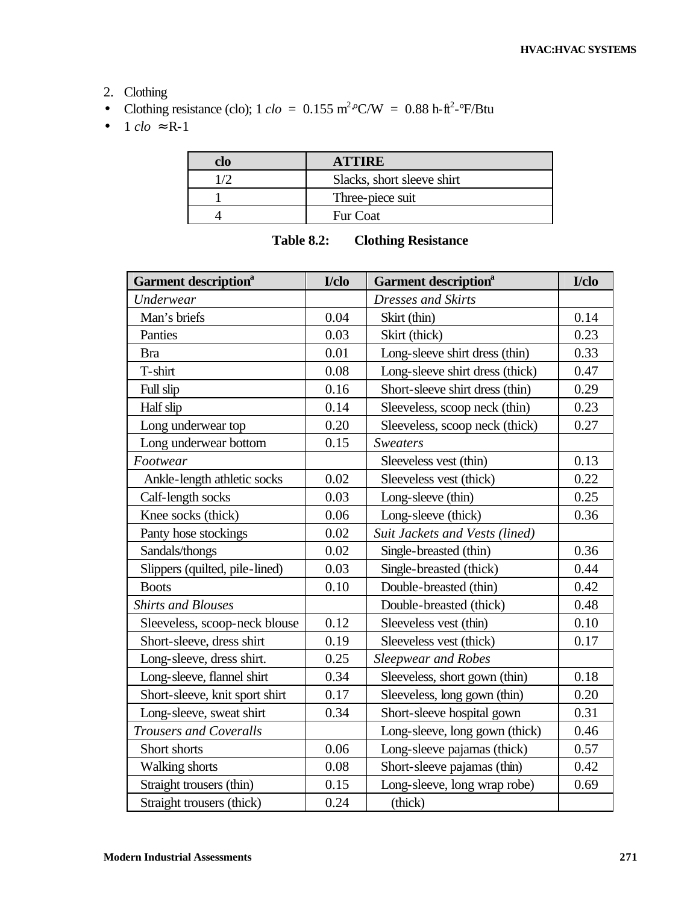- 2. Clothing
- Clothing resistance (clo);  $1 \text{ clo} = 0.155 \text{ m}^2 \text{°C/W} = 0.88 \text{ h} \text{--ft}^2 \text{~} \text{~} \text{F/Btu}$
- $1$  *clo*  $\approx$  R-1

| clo | <b>ATTIRE</b>              |
|-----|----------------------------|
|     | Slacks, short sleeve shirt |
|     | Three-piece suit           |
|     | Fur Coat                   |

| <b>Table 8.2:</b> | <b>Clothing Resistance</b> |
|-------------------|----------------------------|
|-------------------|----------------------------|

| <b>Garment description</b> <sup>a</sup> | I/clo | <b>Garment description</b> <sup>a</sup> | I/clo |
|-----------------------------------------|-------|-----------------------------------------|-------|
| Underwear                               |       | Dresses and Skirts                      |       |
| Man's briefs                            | 0.04  | Skirt (thin)                            | 0.14  |
| Panties                                 | 0.03  | Skirt (thick)                           | 0.23  |
| <b>Bra</b>                              | 0.01  | Long-sleeve shirt dress (thin)          | 0.33  |
| T-shirt                                 | 0.08  | Long-sleeve shirt dress (thick)         | 0.47  |
| Full slip                               | 0.16  | Short-sleeve shirt dress (thin)         | 0.29  |
| Half slip                               | 0.14  | Sleeveless, scoop neck (thin)           | 0.23  |
| Long underwear top                      | 0.20  | Sleeveless, scoop neck (thick)          | 0.27  |
| Long underwear bottom                   | 0.15  | <b>Sweaters</b>                         |       |
| Footwear                                |       | Sleeveless vest (thin)                  | 0.13  |
| Ankle-length athletic socks             | 0.02  | Sleeveless vest (thick)                 | 0.22  |
| Calf-length socks                       | 0.03  | Long-sleeve (thin)                      | 0.25  |
| Knee socks (thick)                      | 0.06  | Long-sleeve (thick)                     | 0.36  |
| Panty hose stockings                    | 0.02  | Suit Jackets and Vests (lined)          |       |
| Sandals/thongs                          | 0.02  | Single-breasted (thin)                  | 0.36  |
| Slippers (quilted, pile-lined)          | 0.03  | Single-breasted (thick)                 | 0.44  |
| <b>Boots</b>                            | 0.10  | Double-breasted (thin)                  | 0.42  |
| <b>Shirts and Blouses</b>               |       | Double-breasted (thick)                 | 0.48  |
| Sleeveless, scoop-neck blouse           | 0.12  | Sleeveless vest (thin)                  | 0.10  |
| Short-sleeve, dress shirt               | 0.19  | Sleeveless vest (thick)                 | 0.17  |
| Long-sleeve, dress shirt.               | 0.25  | <b>Sleepwear and Robes</b>              |       |
| Long-sleeve, flannel shirt              | 0.34  | Sleeveless, short gown (thin)           | 0.18  |
| Short-sleeve, knit sport shirt          | 0.17  | Sleeveless, long gown (thin)            | 0.20  |
| Long-sleeve, sweat shirt                | 0.34  | Short-sleeve hospital gown              | 0.31  |
| <b>Trousers and Coveralls</b>           |       | Long-sleeve, long gown (thick)          | 0.46  |
| Short shorts                            | 0.06  | Long-sleeve pajamas (thick)             | 0.57  |
| Walking shorts                          | 0.08  | Short-sleeve pajamas (thin)             | 0.42  |
| Straight trousers (thin)                | 0.15  | Long-sleeve, long wrap robe)            | 0.69  |
| Straight trousers (thick)               | 0.24  | (thick)                                 |       |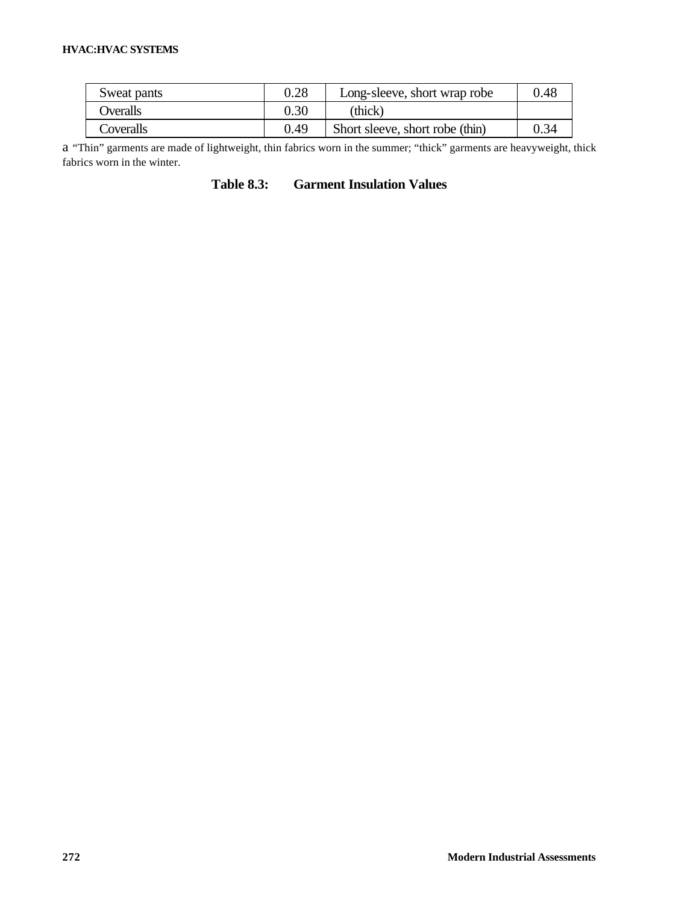#### **HVAC:HVAC SYSTEMS**

| Sweat pants | 0.28 | Long-sleeve, short wrap robe    | 0.48 |
|-------------|------|---------------------------------|------|
| Overalls    | 0.30 | (thick)                         |      |
| Coveralls   | 0.49 | Short sleeve, short robe (thin) | 0.34 |

a "Thin" garments are made of lightweight, thin fabrics worn in the summer; "thick" garments are heavyweight, thick fabrics worn in the winter.

**Table 8.3: Garment Insulation Values**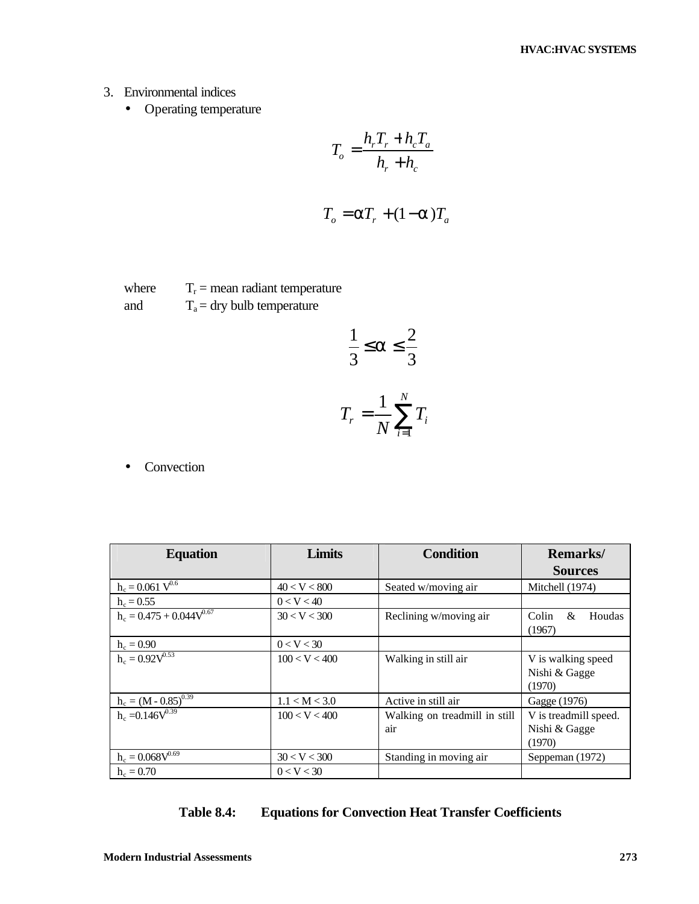- 3. Environmental indices
	- Operating temperature

$$
T_o = \frac{h_r T_r + h_c T_a}{h_r + h_c}
$$

$$
T_o = aT_r + (1 - a)T_a
$$

where  $T_r$  = mean radiant temperature and  $T_a = \frac{dy}{dt}$  bulb temperature

$$
\frac{1}{3} \le a \le \frac{2}{3}
$$

$$
T_r = \frac{1}{N} \sum_{i=1}^{N} T_i
$$

• Convection

| <b>Equation</b>               | <b>Limits</b> | <b>Condition</b>                     | <b>Remarks</b> /                                 |  |
|-------------------------------|---------------|--------------------------------------|--------------------------------------------------|--|
|                               |               |                                      | <b>Sources</b>                                   |  |
| $h_c = 0.061 V^{0.6}$         | 40 < V < 800  | Seated w/moving air                  | Mitchell (1974)                                  |  |
| $h_c = 0.55$                  | 0 < V < 40    |                                      |                                                  |  |
| $h_c = 0.475 + 0.044V^{0.67}$ | 30 < V < 300  | Reclining w/moving air               | Houdas<br>Colin<br>&<br>(1967)                   |  |
| $h_c = 0.90$                  | 0 < V < 30    |                                      |                                                  |  |
| $h_c = 0.92 \sqrt{0.53}$      | 100 < V < 400 | Walking in still air                 | V is walking speed<br>Nishi & Gagge<br>(1970)    |  |
| $h_c = (M - 0.85)^{0.39}$     | 1.1 < M < 3.0 | Active in still air                  | Gagge (1976)                                     |  |
| $h_c = 0.146V^{0.39}$         | 100 < V < 400 | Walking on treadmill in still<br>air | V is treadmill speed.<br>Nishi & Gagge<br>(1970) |  |
| $h_c = 0.068V^{0.69}$         | 30 < V < 300  | Standing in moving air               | Seppeman (1972)                                  |  |
| $h_c = 0.70$                  | 0 < V < 30    |                                      |                                                  |  |

## **Table 8.4: Equations for Convection Heat Transfer Coefficients**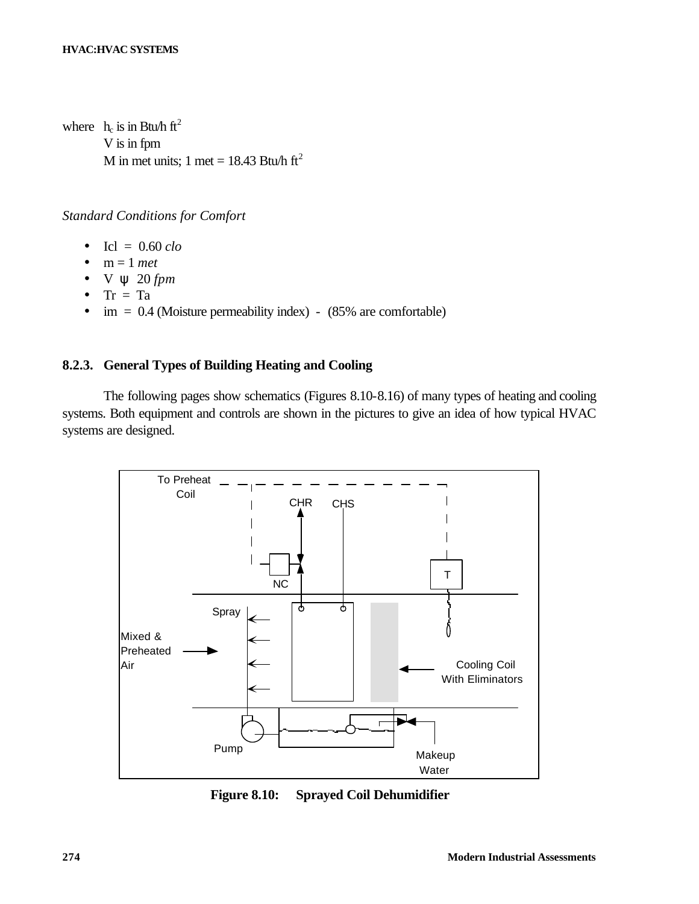where  $h_c$  is in Btu/h ft<sup>2</sup> V is in fpm M in met units; 1 met = 18.43 Btu/h ft<sup>2</sup>

## *Standard Conditions for Comfort*

- Icl =  $0.60$  *clo*
- $\bullet$  m = 1 *met*
- V ψ 20 *fpm*
- $Tr = Ta$
- $\dot{m} = 0.4$  (Moisture permeability index) (85% are comfortable)

## **8.2.3. General Types of Building Heating and Cooling**

The following pages show schematics (Figures 8.10-8.16) of many types of heating and cooling systems. Both equipment and controls are shown in the pictures to give an idea of how typical HVAC systems are designed.



**Figure 8.10: Sprayed Coil Dehumidifier**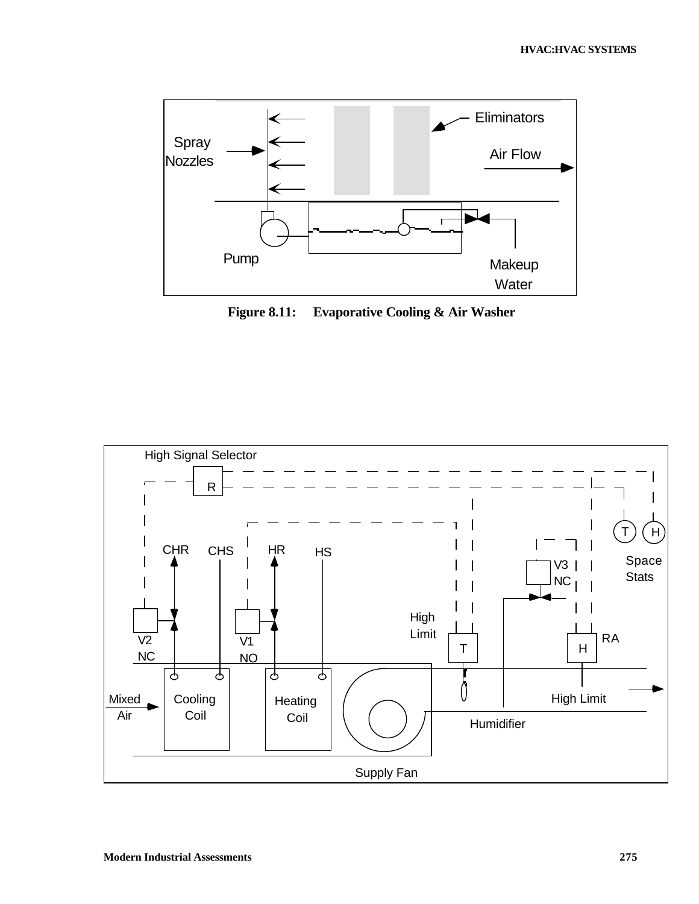

**Figure 8.11: Evaporative Cooling & Air Washer**

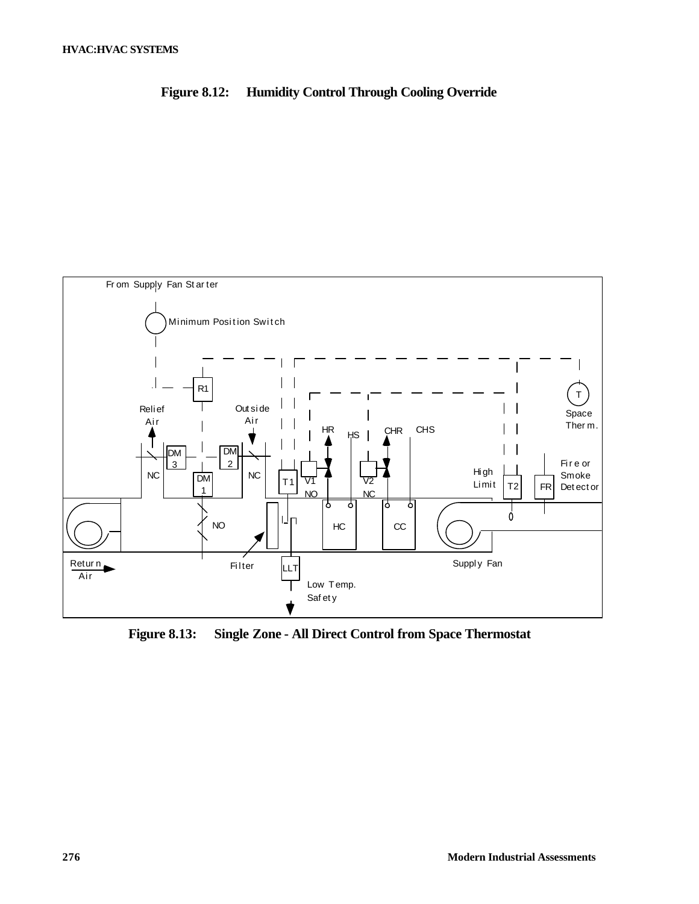



**Figure 8.13: Single Zone - All Direct Control from Space Thermostat**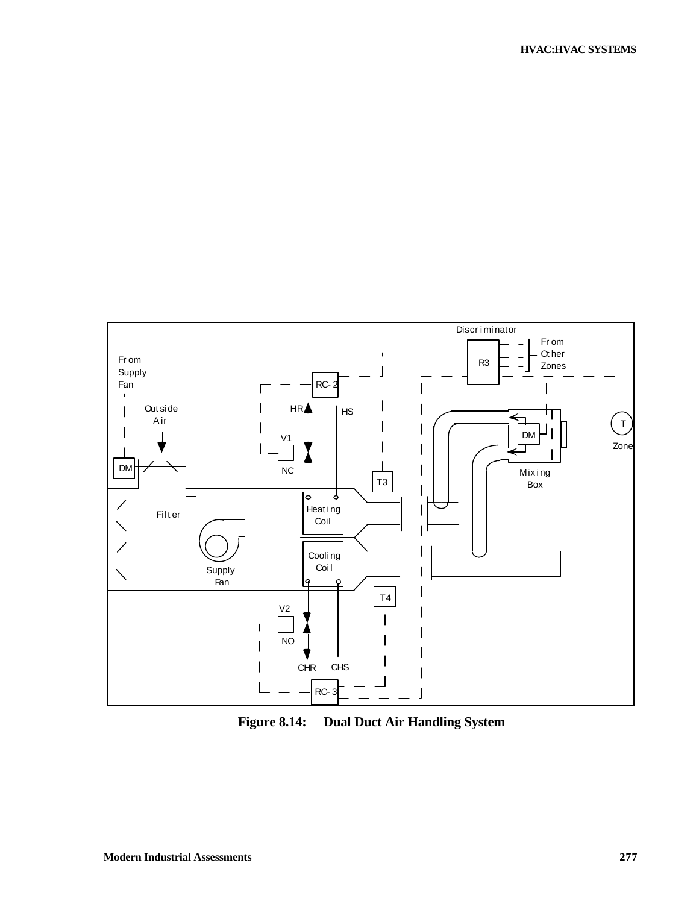

**Figure 8.14: Dual Duct Air Handling System**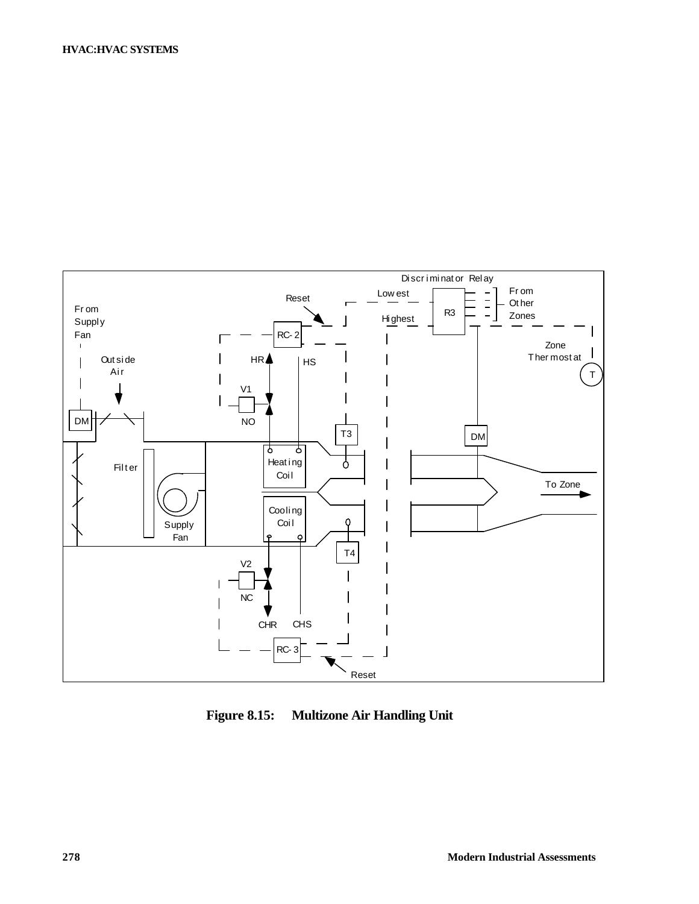

**Figure 8.15: Multizone Air Handling Unit**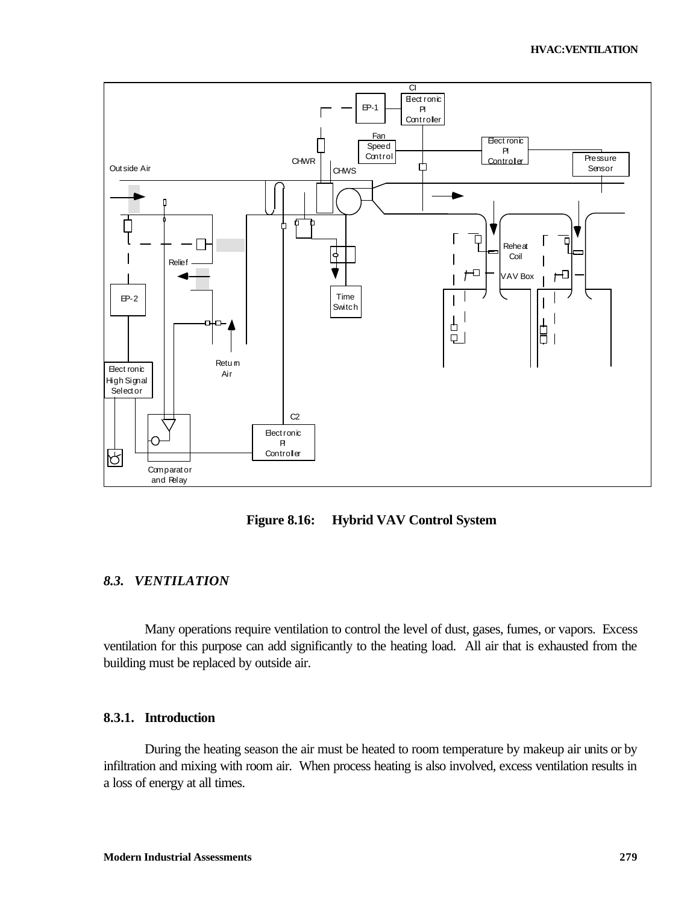

**Figure 8.16: Hybrid VAV Control System**

## *8.3. VENTILATION*

Many operations require ventilation to control the level of dust, gases, fumes, or vapors. Excess ventilation for this purpose can add significantly to the heating load. All air that is exhausted from the building must be replaced by outside air.

## **8.3.1. Introduction**

During the heating season the air must be heated to room temperature by makeup air units or by infiltration and mixing with room air. When process heating is also involved, excess ventilation results in a loss of energy at all times.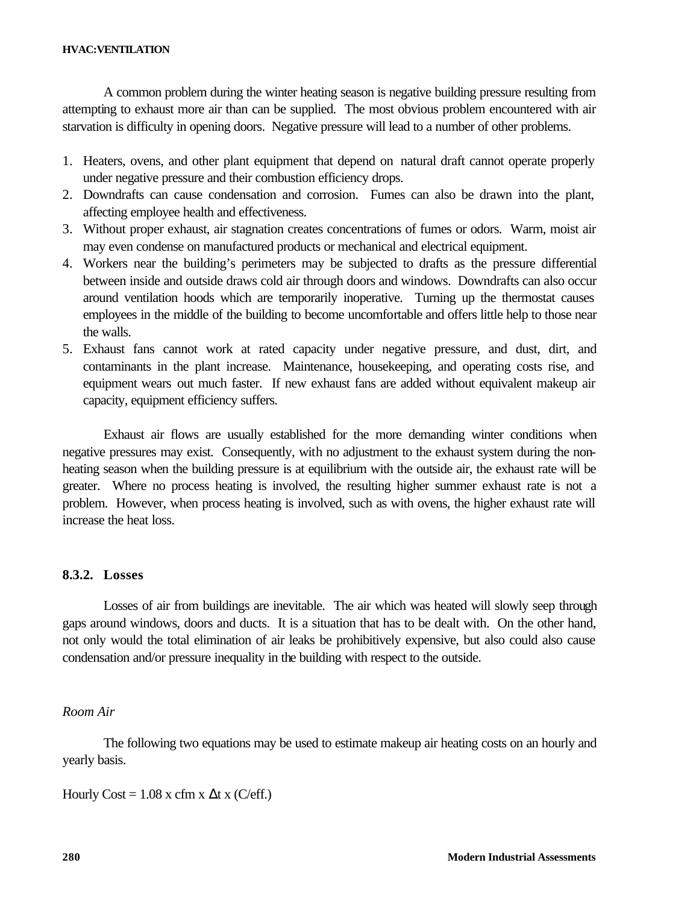A common problem during the winter heating season is negative building pressure resulting from attempting to exhaust more air than can be supplied. The most obvious problem encountered with air starvation is difficulty in opening doors. Negative pressure will lead to a number of other problems.

- 1. Heaters, ovens, and other plant equipment that depend on natural draft cannot operate properly under negative pressure and their combustion efficiency drops.
- 2. Downdrafts can cause condensation and corrosion. Fumes can also be drawn into the plant, affecting employee health and effectiveness.
- 3. Without proper exhaust, air stagnation creates concentrations of fumes or odors. Warm, moist air may even condense on manufactured products or mechanical and electrical equipment.
- 4. Workers near the building's perimeters may be subjected to drafts as the pressure differential between inside and outside draws cold air through doors and windows. Downdrafts can also occur around ventilation hoods which are temporarily inoperative. Turning up the thermostat causes employees in the middle of the building to become uncomfortable and offers little help to those near the walls.
- 5. Exhaust fans cannot work at rated capacity under negative pressure, and dust, dirt, and contaminants in the plant increase. Maintenance, housekeeping, and operating costs rise, and equipment wears out much faster. If new exhaust fans are added without equivalent makeup air capacity, equipment efficiency suffers.

Exhaust air flows are usually established for the more demanding winter conditions when negative pressures may exist. Consequently, with no adjustment to the exhaust system during the nonheating season when the building pressure is at equilibrium with the outside air, the exhaust rate will be greater. Where no process heating is involved, the resulting higher summer exhaust rate is not a problem. However, when process heating is involved, such as with ovens, the higher exhaust rate will increase the heat loss.

## **8.3.2. Losses**

Losses of air from buildings are inevitable. The air which was heated will slowly seep through gaps around windows, doors and ducts. It is a situation that has to be dealt with. On the other hand, not only would the total elimination of air leaks be prohibitively expensive, but also could also cause condensation and/or pressure inequality in the building with respect to the outside.

## *Room Air*

The following two equations may be used to estimate makeup air heating costs on an hourly and yearly basis.

Hourly Cost =  $1.08$  x cfm x  $\Delta t$  x (C/eff.)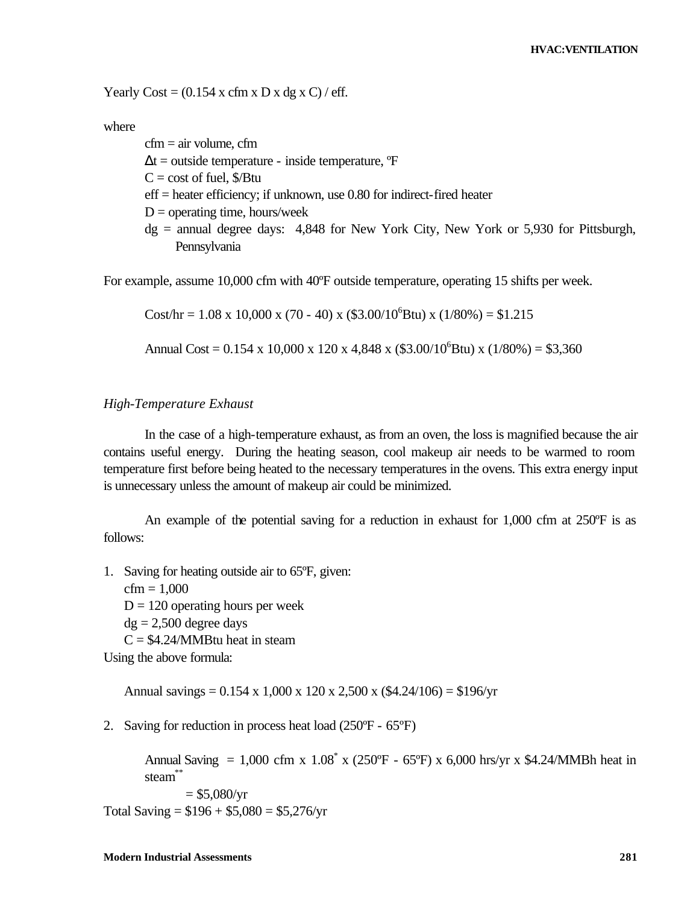Yearly Cost =  $(0.154 \times \text{cfm} \times \text{D} \times \text{dg} \times \text{C})$  / eff.

Pennsylvania

where

 $cfm = air volume$ ,  $cfm$  $\Delta t$  = outside temperature - inside temperature,  ${}^{\circ}\text{F}$  $C = \text{cost of fuel, } \frac{E}{E}$ eff = heater efficiency; if unknown, use 0.80 for indirect-fired heater  $D =$  operating time, hours/week dg = annual degree days: 4,848 for New York City, New York or 5,930 for Pittsburgh,

For example, assume 10,000 cfm with 40ºF outside temperature, operating 15 shifts per week.

Cost/hr =  $1.08 \times 10,000 \times (70 - 40) \times (33.00/10^{6}$ Btu) x (1/80%) = \$1.215

Annual Cost =  $0.154 \times 10,000 \times 120 \times 4,848 \times (\$3.00/10^6$ Btu)  $\times (1/80\%) = \$3,360$ 

#### *High-Temperature Exhaust*

In the case of a high-temperature exhaust, as from an oven, the loss is magnified because the air contains useful energy. During the heating season, cool makeup air needs to be warmed to room temperature first before being heated to the necessary temperatures in the ovens. This extra energy input is unnecessary unless the amount of makeup air could be minimized.

An example of the potential saving for a reduction in exhaust for 1,000 cfm at 250ºF is as follows:

1. Saving for heating outside air to 65ºF, given:  $cfm = 1,000$  $D = 120$  operating hours per week  $dg = 2,500$  degree days  $C = $4.24/MM$ Btu heat in steam Using the above formula:

Annual savings =  $0.154 \times 1,000 \times 120 \times 2,500 \times (\$4.24/106) = \$196/\text{yr}$ 

2. Saving for reduction in process heat load (250ºF - 65ºF)

Annual Saving = 1,000 cfm x  $1.08^*$  x (250°F - 65°F) x 6,000 hrs/yr x \$4.24/MMBh heat in steam\*\*

 $= $5,080/yr$ Total Saving =  $$196 + $5,080 = $5,276/yr$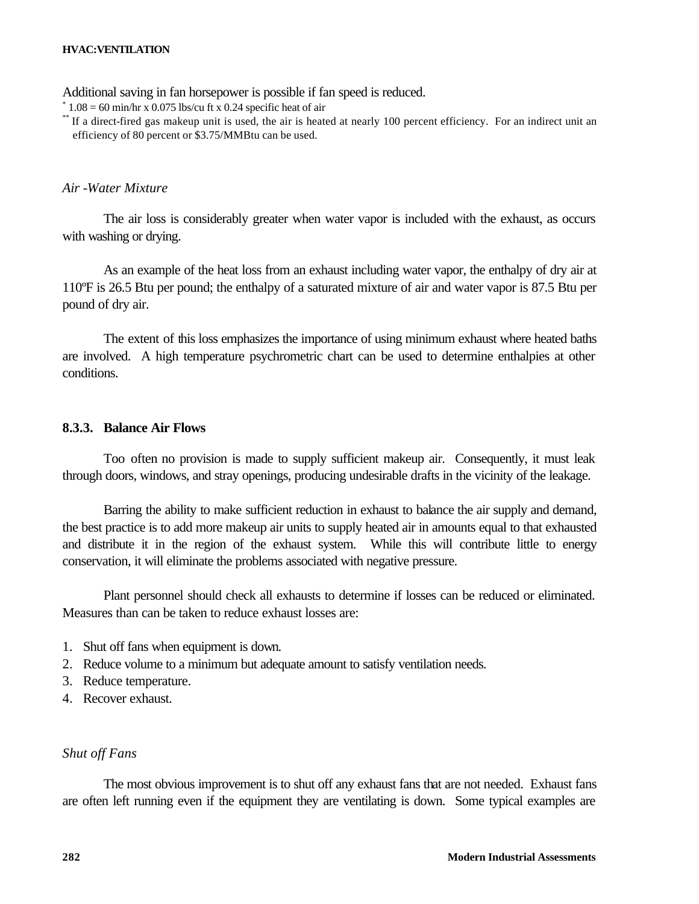Additional saving in fan horsepower is possible if fan speed is reduced.

\*  $1.08 = 60$  min/hr x 0.075 lbs/cu ft x 0.24 specific heat of air

\*\* If a direct-fired gas makeup unit is used, the air is heated at nearly 100 percent efficiency. For an indirect unit an efficiency of 80 percent or \$3.75/MMBtu can be used.

## *Air -Water Mixture*

The air loss is considerably greater when water vapor is included with the exhaust, as occurs with washing or drying.

As an example of the heat loss from an exhaust including water vapor, the enthalpy of dry air at 110ºF is 26.5 Btu per pound; the enthalpy of a saturated mixture of air and water vapor is 87.5 Btu per pound of dry air.

The extent of this loss emphasizes the importance of using minimum exhaust where heated baths are involved. A high temperature psychrometric chart can be used to determine enthalpies at other conditions.

#### **8.3.3. Balance Air Flows**

Too often no provision is made to supply sufficient makeup air. Consequently, it must leak through doors, windows, and stray openings, producing undesirable drafts in the vicinity of the leakage.

Barring the ability to make sufficient reduction in exhaust to balance the air supply and demand, the best practice is to add more makeup air units to supply heated air in amounts equal to that exhausted and distribute it in the region of the exhaust system. While this will contribute little to energy conservation, it will eliminate the problems associated with negative pressure.

Plant personnel should check all exhausts to determine if losses can be reduced or eliminated. Measures than can be taken to reduce exhaust losses are:

- 1. Shut off fans when equipment is down.
- 2. Reduce volume to a minimum but adequate amount to satisfy ventilation needs.
- 3. Reduce temperature.
- 4. Recover exhaust.

### *Shut off Fans*

The most obvious improvement is to shut off any exhaust fans that are not needed. Exhaust fans are often left running even if the equipment they are ventilating is down. Some typical examples are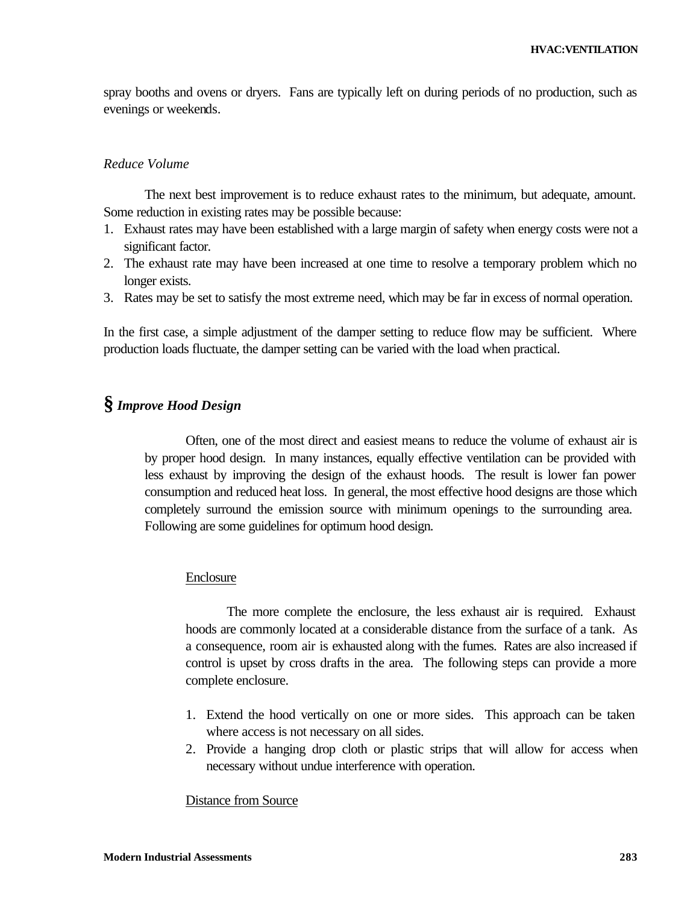spray booths and ovens or dryers. Fans are typically left on during periods of no production, such as evenings or weekends.

#### *Reduce Volume*

The next best improvement is to reduce exhaust rates to the minimum, but adequate, amount. Some reduction in existing rates may be possible because:

- 1. Exhaust rates may have been established with a large margin of safety when energy costs were not a significant factor.
- 2. The exhaust rate may have been increased at one time to resolve a temporary problem which no longer exists.
- 3. Rates may be set to satisfy the most extreme need, which may be far in excess of normal operation.

In the first case, a simple adjustment of the damper setting to reduce flow may be sufficient. Where production loads fluctuate, the damper setting can be varied with the load when practical.

## **§** *Improve Hood Design*

Often, one of the most direct and easiest means to reduce the volume of exhaust air is by proper hood design. In many instances, equally effective ventilation can be provided with less exhaust by improving the design of the exhaust hoods. The result is lower fan power consumption and reduced heat loss. In general, the most effective hood designs are those which completely surround the emission source with minimum openings to the surrounding area. Following are some guidelines for optimum hood design.

#### Enclosure

The more complete the enclosure, the less exhaust air is required. Exhaust hoods are commonly located at a considerable distance from the surface of a tank. As a consequence, room air is exhausted along with the fumes. Rates are also increased if control is upset by cross drafts in the area. The following steps can provide a more complete enclosure.

- 1. Extend the hood vertically on one or more sides. This approach can be taken where access is not necessary on all sides.
- 2. Provide a hanging drop cloth or plastic strips that will allow for access when necessary without undue interference with operation.

#### Distance from Source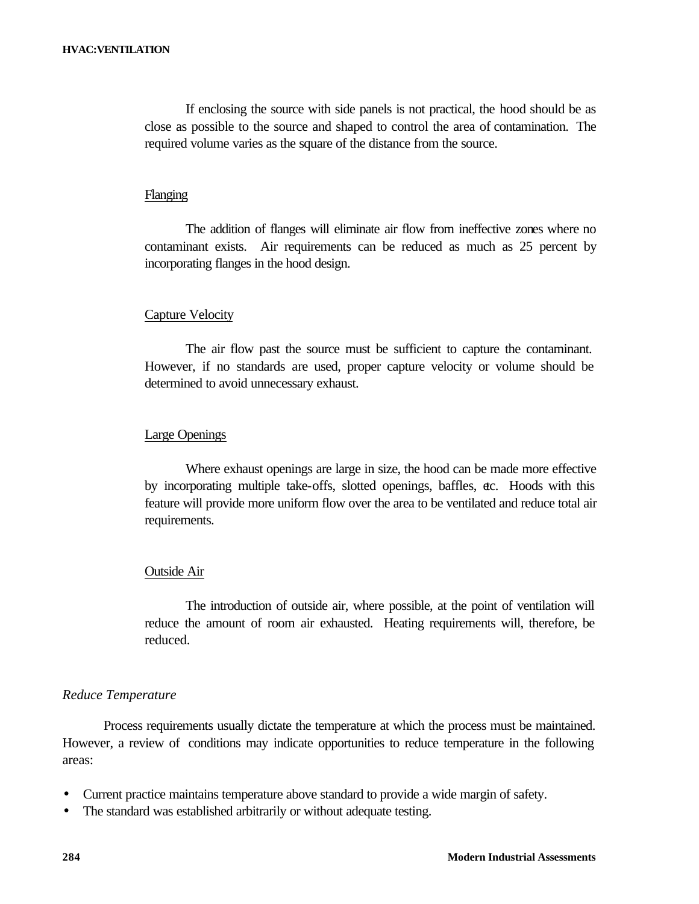If enclosing the source with side panels is not practical, the hood should be as close as possible to the source and shaped to control the area of contamination. The required volume varies as the square of the distance from the source.

#### Flanging

The addition of flanges will eliminate air flow from ineffective zones where no contaminant exists. Air requirements can be reduced as much as 25 percent by incorporating flanges in the hood design.

## Capture Velocity

The air flow past the source must be sufficient to capture the contaminant. However, if no standards are used, proper capture velocity or volume should be determined to avoid unnecessary exhaust.

#### Large Openings

Where exhaust openings are large in size, the hood can be made more effective by incorporating multiple take-offs, slotted openings, baffles, etc. Hoods with this feature will provide more uniform flow over the area to be ventilated and reduce total air requirements.

#### Outside Air

The introduction of outside air, where possible, at the point of ventilation will reduce the amount of room air exhausted. Heating requirements will, therefore, be reduced.

#### *Reduce Temperature*

Process requirements usually dictate the temperature at which the process must be maintained. However, a review of conditions may indicate opportunities to reduce temperature in the following areas:

- Current practice maintains temperature above standard to provide a wide margin of safety.
- The standard was established arbitrarily or without adequate testing.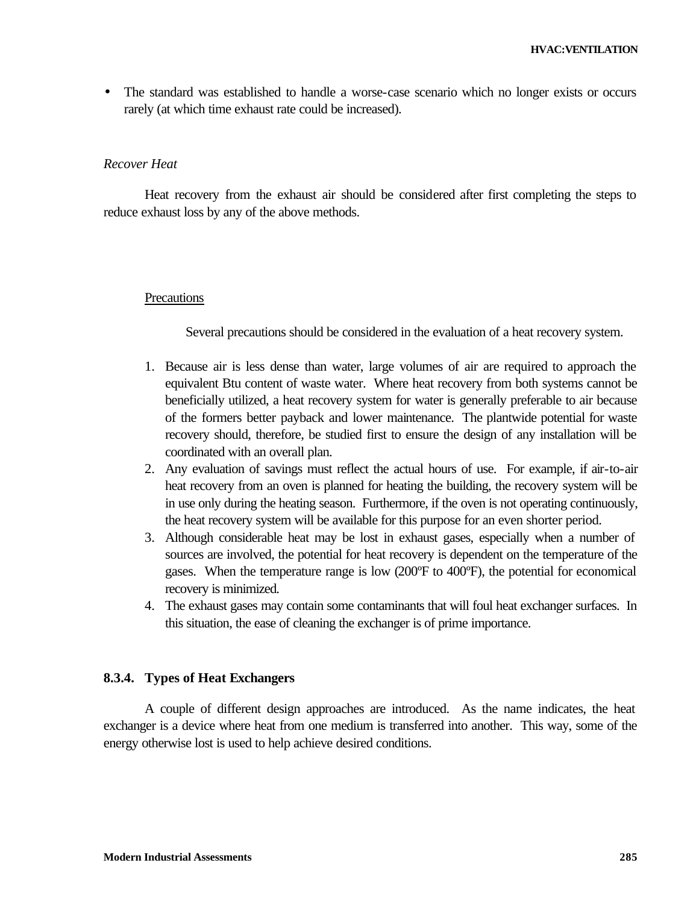• The standard was established to handle a worse-case scenario which no longer exists or occurs rarely (at which time exhaust rate could be increased).

#### *Recover Heat*

Heat recovery from the exhaust air should be considered after first completing the steps to reduce exhaust loss by any of the above methods.

#### **Precautions**

Several precautions should be considered in the evaluation of a heat recovery system.

- 1. Because air is less dense than water, large volumes of air are required to approach the equivalent Btu content of waste water. Where heat recovery from both systems cannot be beneficially utilized, a heat recovery system for water is generally preferable to air because of the formers better payback and lower maintenance. The plantwide potential for waste recovery should, therefore, be studied first to ensure the design of any installation will be coordinated with an overall plan.
- 2. Any evaluation of savings must reflect the actual hours of use. For example, if air-to-air heat recovery from an oven is planned for heating the building, the recovery system will be in use only during the heating season. Furthermore, if the oven is not operating continuously, the heat recovery system will be available for this purpose for an even shorter period.
- 3. Although considerable heat may be lost in exhaust gases, especially when a number of sources are involved, the potential for heat recovery is dependent on the temperature of the gases. When the temperature range is low (200ºF to 400ºF), the potential for economical recovery is minimized.
- 4. The exhaust gases may contain some contaminants that will foul heat exchanger surfaces. In this situation, the ease of cleaning the exchanger is of prime importance.

#### **8.3.4. Types of Heat Exchangers**

A couple of different design approaches are introduced. As the name indicates, the heat exchanger is a device where heat from one medium is transferred into another. This way, some of the energy otherwise lost is used to help achieve desired conditions.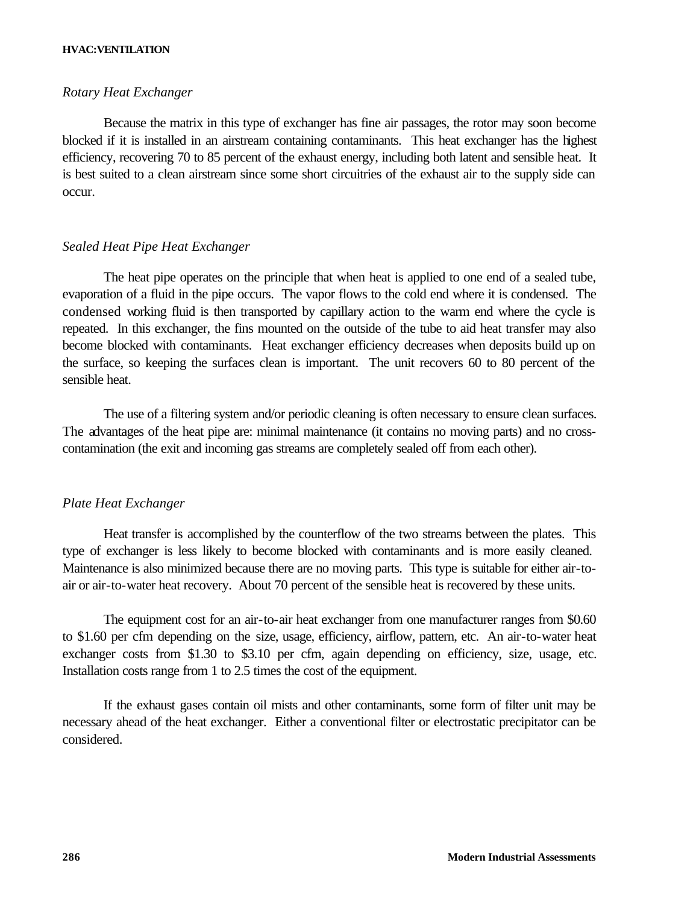#### **HVAC:VENTILATION**

#### *Rotary Heat Exchanger*

Because the matrix in this type of exchanger has fine air passages, the rotor may soon become blocked if it is installed in an airstream containing contaminants. This heat exchanger has the highest efficiency, recovering 70 to 85 percent of the exhaust energy, including both latent and sensible heat. It is best suited to a clean airstream since some short circuitries of the exhaust air to the supply side can occur.

#### *Sealed Heat Pipe Heat Exchanger*

The heat pipe operates on the principle that when heat is applied to one end of a sealed tube, evaporation of a fluid in the pipe occurs. The vapor flows to the cold end where it is condensed. The condensed working fluid is then transported by capillary action to the warm end where the cycle is repeated. In this exchanger, the fins mounted on the outside of the tube to aid heat transfer may also become blocked with contaminants. Heat exchanger efficiency decreases when deposits build up on the surface, so keeping the surfaces clean is important. The unit recovers 60 to 80 percent of the sensible heat.

The use of a filtering system and/or periodic cleaning is often necessary to ensure clean surfaces. The advantages of the heat pipe are: minimal maintenance (it contains no moving parts) and no crosscontamination (the exit and incoming gas streams are completely sealed off from each other).

#### *Plate Heat Exchanger*

Heat transfer is accomplished by the counterflow of the two streams between the plates. This type of exchanger is less likely to become blocked with contaminants and is more easily cleaned. Maintenance is also minimized because there are no moving parts. This type is suitable for either air-toair or air-to-water heat recovery. About 70 percent of the sensible heat is recovered by these units.

The equipment cost for an air-to-air heat exchanger from one manufacturer ranges from \$0.60 to \$1.60 per cfm depending on the size, usage, efficiency, airflow, pattern, etc. An air-to-water heat exchanger costs from \$1.30 to \$3.10 per cfm, again depending on efficiency, size, usage, etc. Installation costs range from 1 to 2.5 times the cost of the equipment.

If the exhaust gases contain oil mists and other contaminants, some form of filter unit may be necessary ahead of the heat exchanger. Either a conventional filter or electrostatic precipitator can be considered.